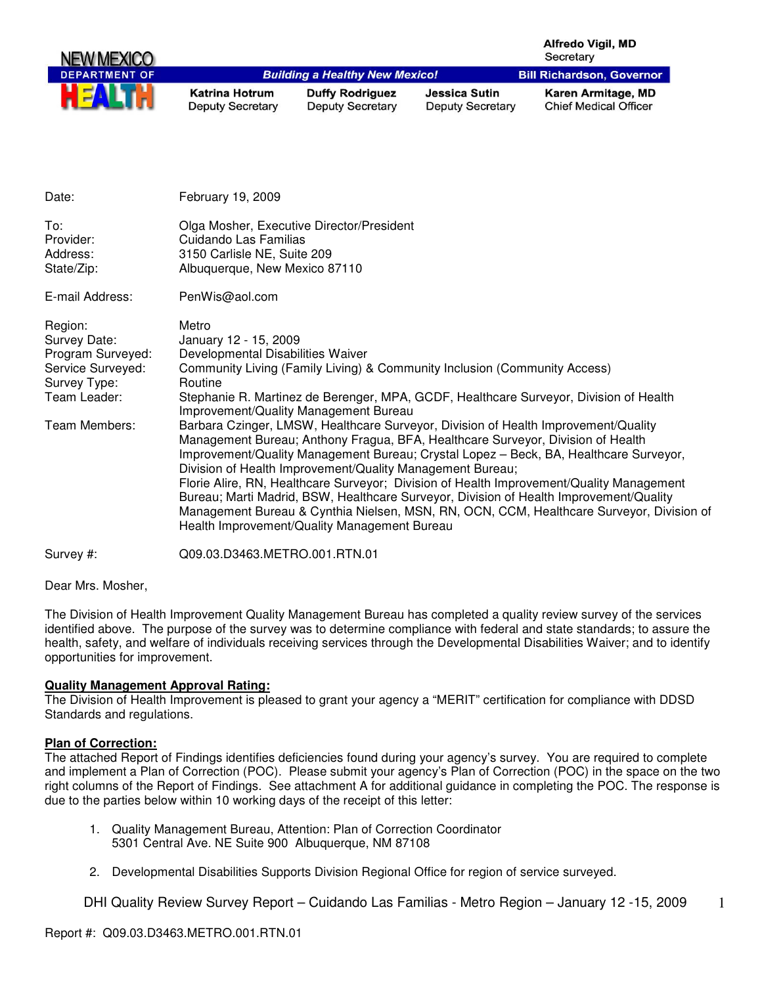| NEW MEXICO           |                                                  |                                                   |                                          | <b>Alfredo Vigil, MD</b><br>Secretary              |
|----------------------|--------------------------------------------------|---------------------------------------------------|------------------------------------------|----------------------------------------------------|
| <b>DEPARTMENT OF</b> |                                                  | <b>Building a Healthy New Mexico!</b>             |                                          | <b>Bill Richardson, Governor</b>                   |
| HE                   | <b>Katrina Hotrum</b><br><b>Deputy Secretary</b> | <b>Duffy Rodriguez</b><br><b>Deputy Secretary</b> | Jessica Sutin<br><b>Deputy Secretary</b> | Karen Armitage, MD<br><b>Chief Medical Officer</b> |

| Date:                                                                                                              | February 19, 2009                                                                                                                                                                                                                                                                                                                                                                                                                                                                                                                                                                                                                                                                                                                                                                                                                                                                                                                                              |
|--------------------------------------------------------------------------------------------------------------------|----------------------------------------------------------------------------------------------------------------------------------------------------------------------------------------------------------------------------------------------------------------------------------------------------------------------------------------------------------------------------------------------------------------------------------------------------------------------------------------------------------------------------------------------------------------------------------------------------------------------------------------------------------------------------------------------------------------------------------------------------------------------------------------------------------------------------------------------------------------------------------------------------------------------------------------------------------------|
| To:<br>Provider:<br>Address:<br>State/Zip:                                                                         | Olga Mosher, Executive Director/President<br>Cuidando Las Familias<br>3150 Carlisle NE, Suite 209<br>Albuquerque, New Mexico 87110                                                                                                                                                                                                                                                                                                                                                                                                                                                                                                                                                                                                                                                                                                                                                                                                                             |
| E-mail Address:                                                                                                    | PenWis@aol.com                                                                                                                                                                                                                                                                                                                                                                                                                                                                                                                                                                                                                                                                                                                                                                                                                                                                                                                                                 |
| Region:<br>Survey Date:<br>Program Surveyed:<br>Service Surveyed:<br>Survey Type:<br>Team Leader:<br>Team Members: | Metro<br>January 12 - 15, 2009<br>Developmental Disabilities Waiver<br>Community Living (Family Living) & Community Inclusion (Community Access)<br>Routine<br>Stephanie R. Martinez de Berenger, MPA, GCDF, Healthcare Surveyor, Division of Health<br>Improvement/Quality Management Bureau<br>Barbara Czinger, LMSW, Healthcare Surveyor, Division of Health Improvement/Quality<br>Management Bureau; Anthony Fragua, BFA, Healthcare Surveyor, Division of Health<br>Improvement/Quality Management Bureau; Crystal Lopez - Beck, BA, Healthcare Surveyor,<br>Division of Health Improvement/Quality Management Bureau;<br>Florie Alire, RN, Healthcare Surveyor; Division of Health Improvement/Quality Management<br>Bureau; Marti Madrid, BSW, Healthcare Surveyor, Division of Health Improvement/Quality<br>Management Bureau & Cynthia Nielsen, MSN, RN, OCN, CCM, Healthcare Surveyor, Division of<br>Health Improvement/Quality Management Bureau |
| Survey #:                                                                                                          | Q09.03.D3463.METRO.001.RTN.01                                                                                                                                                                                                                                                                                                                                                                                                                                                                                                                                                                                                                                                                                                                                                                                                                                                                                                                                  |

Dear Mrs. Mosher,

The Division of Health Improvement Quality Management Bureau has completed a quality review survey of the services identified above. The purpose of the survey was to determine compliance with federal and state standards; to assure the health, safety, and welfare of individuals receiving services through the Developmental Disabilities Waiver; and to identify opportunities for improvement.

#### **Quality Management Approval Rating:**

The Division of Health Improvement is pleased to grant your agency a "MERIT" certification for compliance with DDSD Standards and regulations.

## **Plan of Correction:**

The attached Report of Findings identifies deficiencies found during your agency's survey. You are required to complete and implement a Plan of Correction (POC). Please submit your agency's Plan of Correction (POC) in the space on the two right columns of the Report of Findings. See attachment A for additional guidance in completing the POC. The response is due to the parties below within 10 working days of the receipt of this letter:

- 1. Quality Management Bureau, Attention: Plan of Correction Coordinator 5301 Central Ave. NE Suite 900 Albuquerque, NM 87108
- 2. Developmental Disabilities Supports Division Regional Office for region of service surveyed.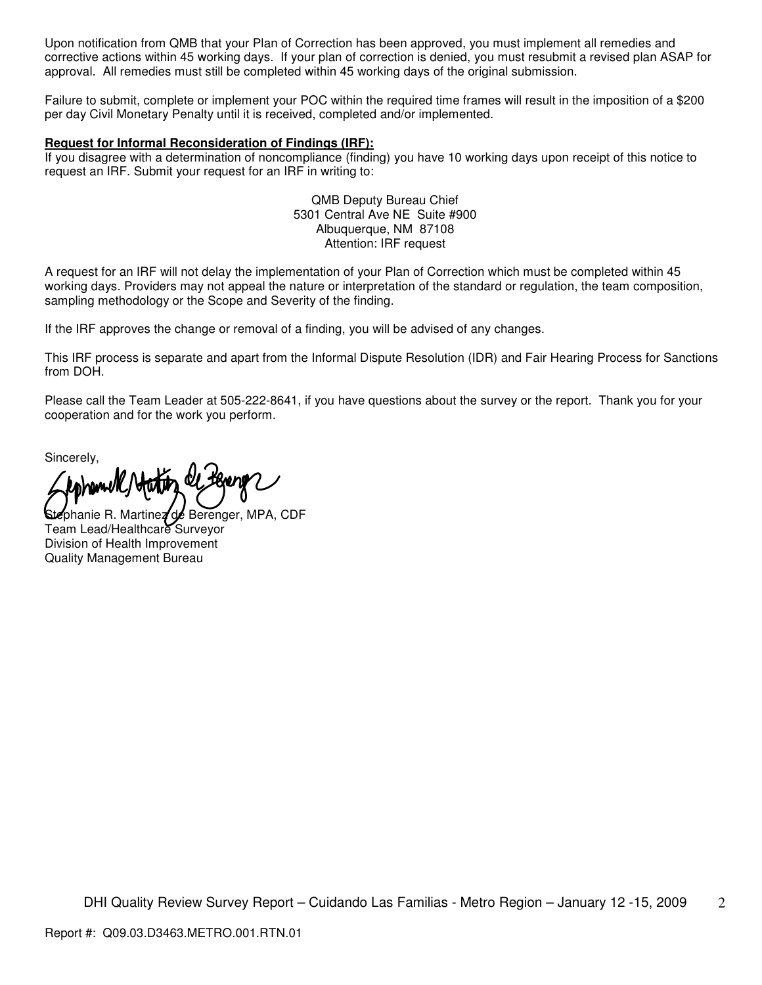Upon notification from QMB that your Plan of Correction has been approved, you must implement all remedies and corrective actions within 45 working days. If your plan of correction is denied, you must resubmit a revised plan ASAP for approval. All remedies must still be completed within 45 working days of the original submission.

Failure to submit, complete or implement your POC within the required time frames will result in the imposition of a \$200 per day Civil Monetary Penalty until it is received, completed and/or implemented.

#### **Request for Informal Reconsideration of Findings (IRF):**

If you disagree with a determination of noncompliance (finding) you have 10 working days upon receipt of this notice to request an IRF. Submit your request for an IRF in writing to:

> QMB Deputy Bureau Chief 5301 Central Ave NE Suite #900 Albuquerque, NM 87108 Attention: IRF request

A request for an IRF will not delay the implementation of your Plan of Correction which must be completed within 45 working days. Providers may not appeal the nature or interpretation of the standard or regulation, the team composition, sampling methodology or the Scope and Severity of the finding.

If the IRF approves the change or removal of a finding, you will be advised of any changes.

This IRF process is separate and apart from the Informal Dispute Resolution (IDR) and Fair Hearing Process for Sanctions from DOH.

Please call the Team Leader at 505-222-8641, if you have questions about the survey or the report. Thank you for your cooperation and for the work you perform.

Sincerely,

zphanie R. Martinez de Berenger, MPA, CDF Team Lead/Healthcare Surveyor Division of Health Improvement Quality Management Bureau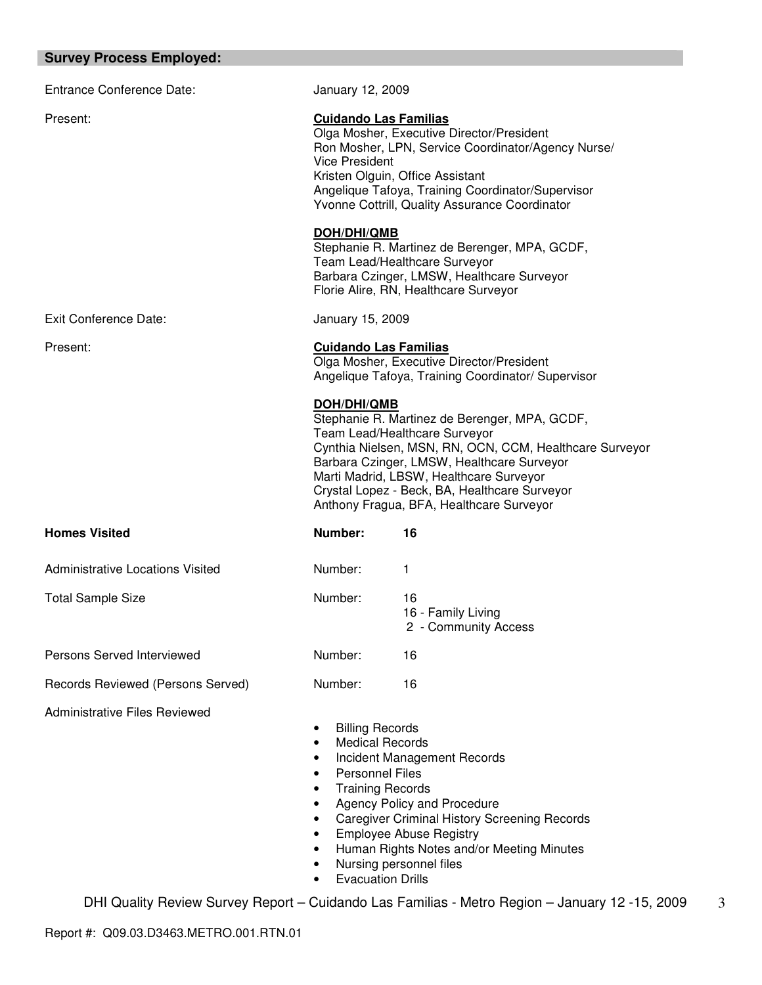# **Survey Process Employed:**

| <b>Entrance Conference Date:</b>        | January 12, 2009                                                                                                                                                                                                                                                                                    |                                                                                                                                                                                                                                                                                                                                 |
|-----------------------------------------|-----------------------------------------------------------------------------------------------------------------------------------------------------------------------------------------------------------------------------------------------------------------------------------------------------|---------------------------------------------------------------------------------------------------------------------------------------------------------------------------------------------------------------------------------------------------------------------------------------------------------------------------------|
| Present:                                | <b>Cuidando Las Familias</b><br>Olga Mosher, Executive Director/President<br>Ron Mosher, LPN, Service Coordinator/Agency Nurse/<br><b>Vice President</b><br>Kristen Olguin, Office Assistant<br>Angelique Tafoya, Training Coordinator/Supervisor<br>Yvonne Cottrill, Quality Assurance Coordinator |                                                                                                                                                                                                                                                                                                                                 |
|                                         | <b>DOH/DHI/QMB</b>                                                                                                                                                                                                                                                                                  | Stephanie R. Martinez de Berenger, MPA, GCDF,<br>Team Lead/Healthcare Surveyor<br>Barbara Czinger, LMSW, Healthcare Surveyor<br>Florie Alire, RN, Healthcare Surveyor                                                                                                                                                           |
| Exit Conference Date:                   | January 15, 2009                                                                                                                                                                                                                                                                                    |                                                                                                                                                                                                                                                                                                                                 |
| Present:                                | <b>Cuidando Las Familias</b>                                                                                                                                                                                                                                                                        | Olga Mosher, Executive Director/President<br>Angelique Tafoya, Training Coordinator/ Supervisor                                                                                                                                                                                                                                 |
|                                         | <b>DOH/DHI/QMB</b>                                                                                                                                                                                                                                                                                  | Stephanie R. Martinez de Berenger, MPA, GCDF,<br>Team Lead/Healthcare Surveyor<br>Cynthia Nielsen, MSN, RN, OCN, CCM, Healthcare Surveyor<br>Barbara Czinger, LMSW, Healthcare Surveyor<br>Marti Madrid, LBSW, Healthcare Surveyor<br>Crystal Lopez - Beck, BA, Healthcare Surveyor<br>Anthony Fragua, BFA, Healthcare Surveyor |
| <b>Homes Visited</b>                    | Number:                                                                                                                                                                                                                                                                                             | 16                                                                                                                                                                                                                                                                                                                              |
| <b>Administrative Locations Visited</b> | Number:                                                                                                                                                                                                                                                                                             | 1                                                                                                                                                                                                                                                                                                                               |
| <b>Total Sample Size</b>                | Number:                                                                                                                                                                                                                                                                                             | 16<br>16 - Family Living<br>2 - Community Access                                                                                                                                                                                                                                                                                |
| Persons Served Interviewed              | Number:                                                                                                                                                                                                                                                                                             | 16                                                                                                                                                                                                                                                                                                                              |
| Records Reviewed (Persons Served)       | Number:                                                                                                                                                                                                                                                                                             | 16                                                                                                                                                                                                                                                                                                                              |
| <b>Administrative Files Reviewed</b>    | <b>Billing Records</b><br>٠<br><b>Medical Records</b><br>٠<br>٠<br><b>Personnel Files</b><br>٠<br><b>Training Records</b><br>$\bullet$<br>$\bullet$<br>$\bullet$<br>$\bullet$<br>$\bullet$<br>Nursing personnel files<br>٠<br><b>Evacuation Drills</b>                                              | Incident Management Records<br>Agency Policy and Procedure<br><b>Caregiver Criminal History Screening Records</b><br><b>Employee Abuse Registry</b><br>Human Rights Notes and/or Meeting Minutes                                                                                                                                |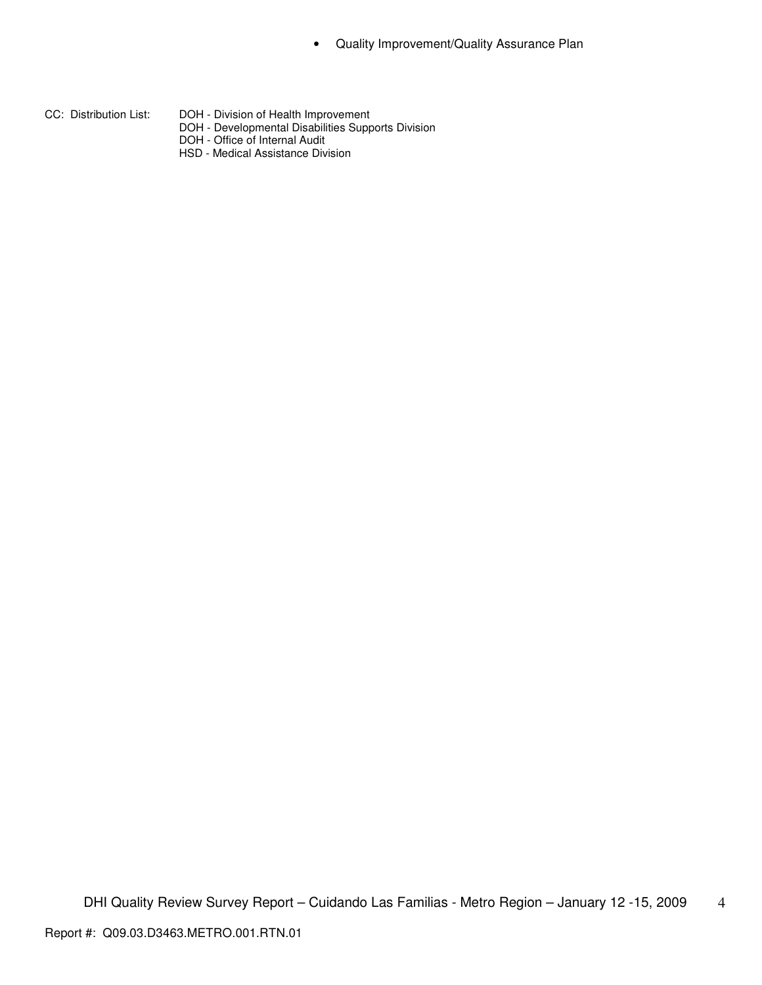- 
- CC: Distribution List: DOH Division of Health Improvement
	- DOH Developmental Disabilities Supports Division
	- DOH Office of Internal Audit
	- HSD Medical Assistance Division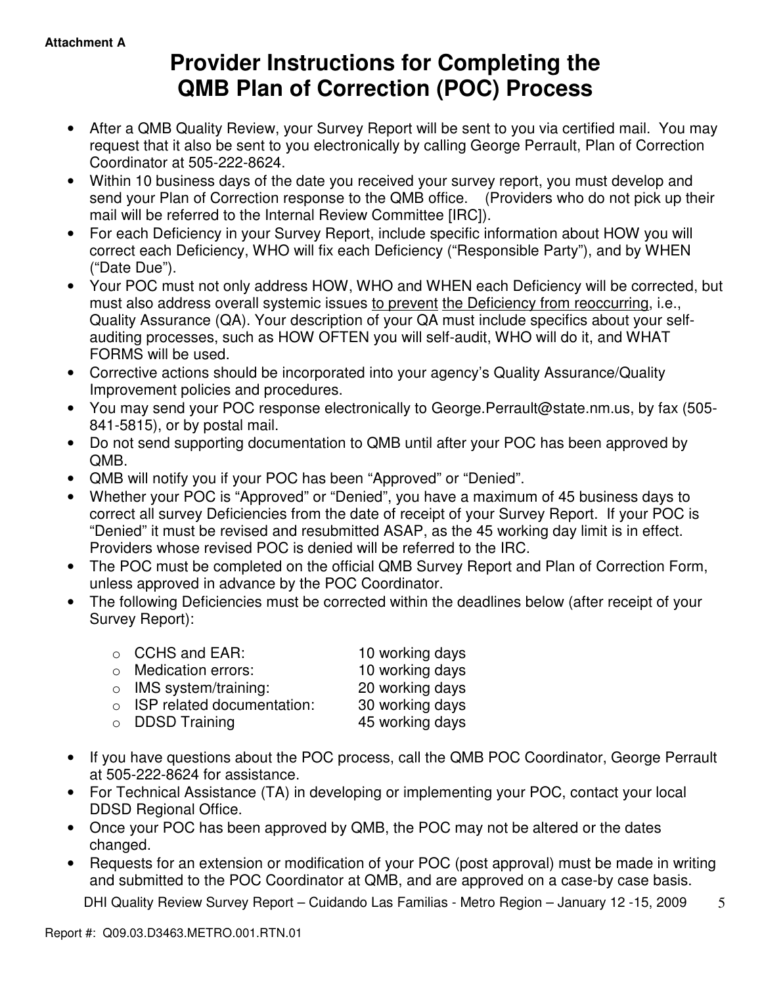# **Provider Instructions for Completing the QMB Plan of Correction (POC) Process**

- After a QMB Quality Review, your Survey Report will be sent to you via certified mail. You may request that it also be sent to you electronically by calling George Perrault, Plan of Correction Coordinator at 505-222-8624.
- Within 10 business days of the date you received your survey report, you must develop and send your Plan of Correction response to the QMB office. (Providers who do not pick up their mail will be referred to the Internal Review Committee [IRC]).
- For each Deficiency in your Survey Report, include specific information about HOW you will correct each Deficiency, WHO will fix each Deficiency ("Responsible Party"), and by WHEN ("Date Due").
- Your POC must not only address HOW, WHO and WHEN each Deficiency will be corrected, but must also address overall systemic issues to prevent the Deficiency from reoccurring, i.e., Quality Assurance (QA). Your description of your QA must include specifics about your selfauditing processes, such as HOW OFTEN you will self-audit, WHO will do it, and WHAT FORMS will be used.
- Corrective actions should be incorporated into your agency's Quality Assurance/Quality Improvement policies and procedures.
- You may send your POC response electronically to George.Perrault@state.nm.us, by fax (505- 841-5815), or by postal mail.
- Do not send supporting documentation to QMB until after your POC has been approved by QMB.
- QMB will notify you if your POC has been "Approved" or "Denied".
- Whether your POC is "Approved" or "Denied", you have a maximum of 45 business days to correct all survey Deficiencies from the date of receipt of your Survey Report. If your POC is "Denied" it must be revised and resubmitted ASAP, as the 45 working day limit is in effect. Providers whose revised POC is denied will be referred to the IRC.
- The POC must be completed on the official QMB Survey Report and Plan of Correction Form, unless approved in advance by the POC Coordinator.
- The following Deficiencies must be corrected within the deadlines below (after receipt of your Survey Report):

| $\circ$ CCHS and EAR:              | 10 working days |
|------------------------------------|-----------------|
| $\circ$ Medication errors:         | 10 working days |
| $\circ$ IMS system/training:       | 20 working days |
| $\circ$ ISP related documentation: | 30 working days |
| $\circ$ DDSD Training              | 45 working days |
|                                    |                 |

- If you have questions about the POC process, call the QMB POC Coordinator, George Perrault at 505-222-8624 for assistance.
- For Technical Assistance (TA) in developing or implementing your POC, contact your local DDSD Regional Office.
- Once your POC has been approved by QMB, the POC may not be altered or the dates changed.
- Requests for an extension or modification of your POC (post approval) must be made in writing and submitted to the POC Coordinator at QMB, and are approved on a case-by case basis.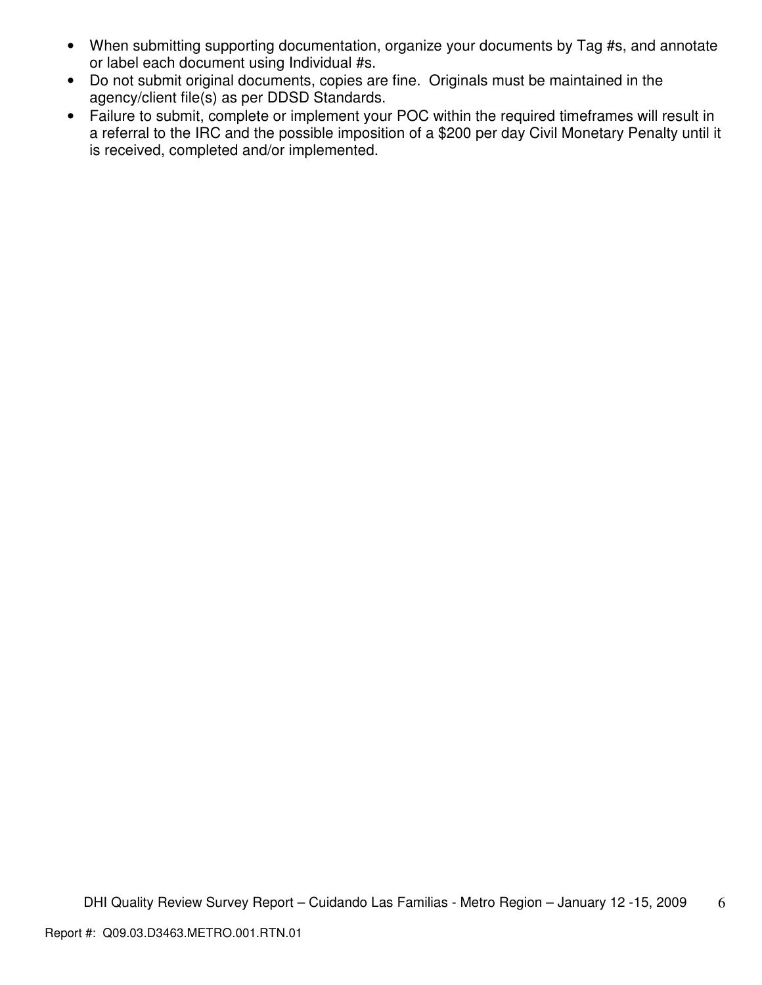- When submitting supporting documentation, organize your documents by Tag #s, and annotate or label each document using Individual #s.
- Do not submit original documents, copies are fine. Originals must be maintained in the agency/client file(s) as per DDSD Standards.
- Failure to submit, complete or implement your POC within the required timeframes will result in a referral to the IRC and the possible imposition of a \$200 per day Civil Monetary Penalty until it is received, completed and/or implemented.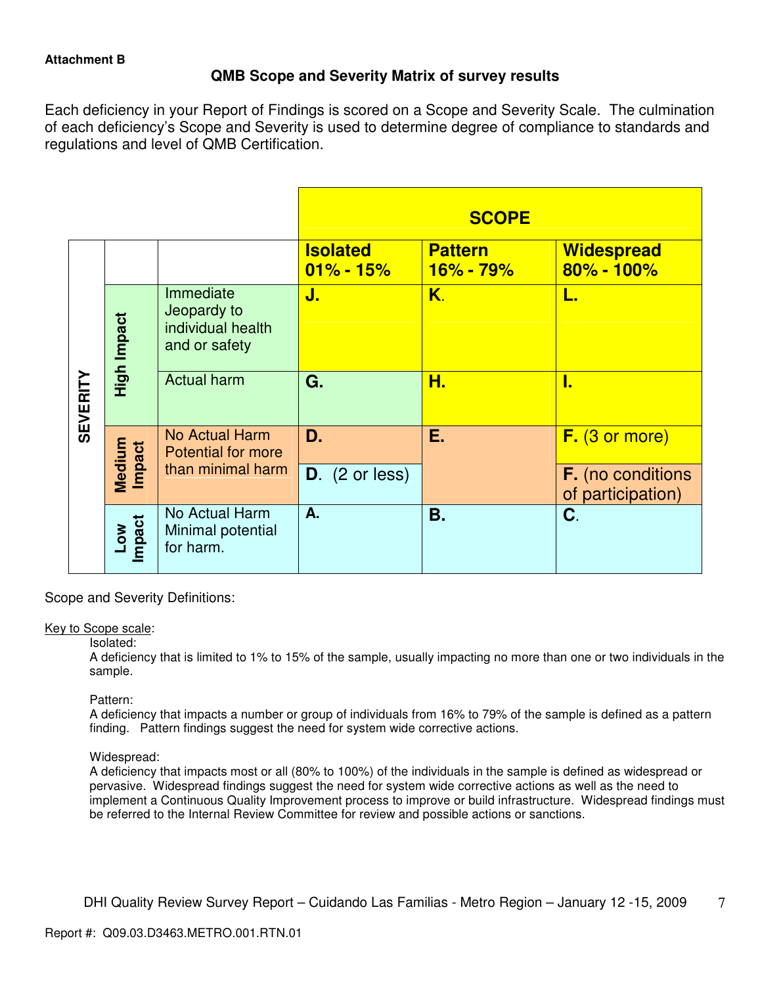# **QMB Scope and Severity Matrix of survey results**

Each deficiency in your Report of Findings is scored on a Scope and Severity Scale. The culmination of each deficiency's Scope and Severity is used to determine degree of compliance to standards and regulations and level of QMB Certification.

|                 |                     |                                                                |                                  | <b>SCOPE</b>                |                                               |
|-----------------|---------------------|----------------------------------------------------------------|----------------------------------|-----------------------------|-----------------------------------------------|
|                 |                     |                                                                | <b>Isolated</b><br>$01\% - 15\%$ | <b>Pattern</b><br>16% - 79% | <b>Widespread</b><br>$80\% - 100\%$           |
| <b>SEVERITY</b> | High Impact         | Immediate<br>Jeopardy to<br>individual health<br>and or safety | J.                               | K.                          | L.                                            |
|                 |                     | <b>Actual harm</b>                                             | G.                               | Н.                          | ı.                                            |
|                 | Medium<br>Impact    | <b>No Actual Harm</b><br><b>Potential for more</b>             | D.                               | Ε.                          | F. (3 or more)                                |
|                 |                     | than minimal harm                                              | $D.$ (2 or less)                 |                             | <b>F.</b> (no conditions<br>of participation) |
|                 | mpact<br><b>NOT</b> | No Actual Harm<br>Minimal potential<br>for harm.               | A.                               | <b>B.</b>                   | C.                                            |

Scope and Severity Definitions:

## Key to Scope scale:

#### Isolated:

A deficiency that is limited to 1% to 15% of the sample, usually impacting no more than one or two individuals in the sample.

## Pattern:

A deficiency that impacts a number or group of individuals from 16% to 79% of the sample is defined as a pattern finding. Pattern findings suggest the need for system wide corrective actions.

## Widespread:

A deficiency that impacts most or all (80% to 100%) of the individuals in the sample is defined as widespread or pervasive. Widespread findings suggest the need for system wide corrective actions as well as the need to implement a Continuous Quality Improvement process to improve or build infrastructure. Widespread findings must be referred to the Internal Review Committee for review and possible actions or sanctions.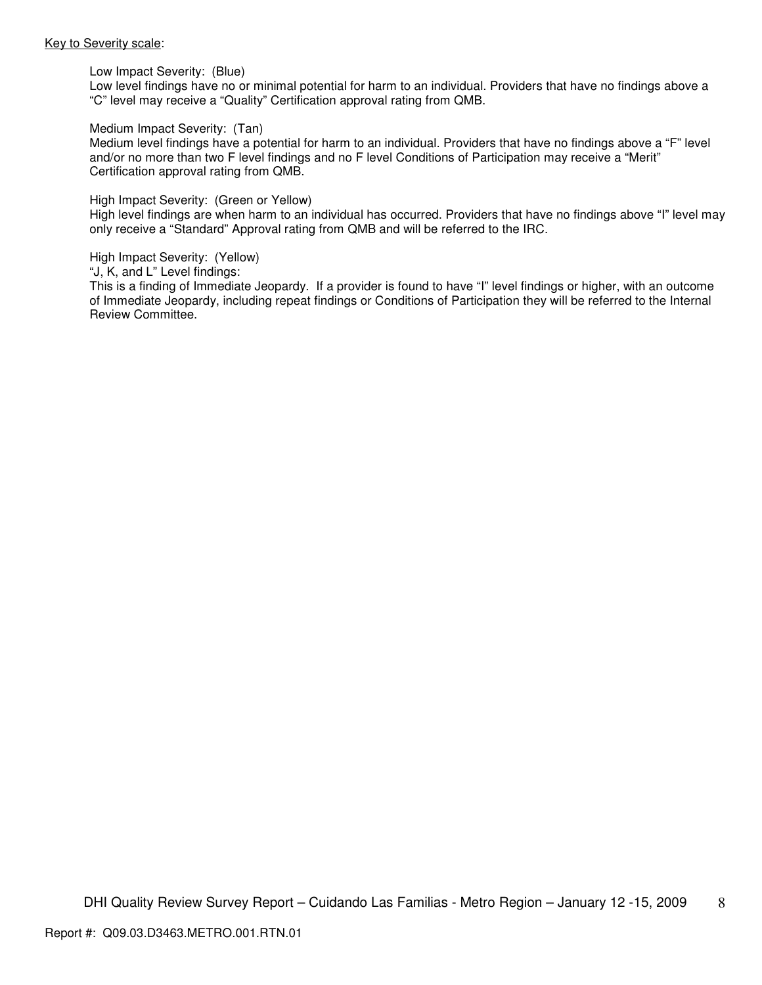#### Key to Severity scale:

Low Impact Severity: (Blue)

Low level findings have no or minimal potential for harm to an individual. Providers that have no findings above a "C" level may receive a "Quality" Certification approval rating from QMB.

#### Medium Impact Severity: (Tan)

Medium level findings have a potential for harm to an individual. Providers that have no findings above a "F" level and/or no more than two F level findings and no F level Conditions of Participation may receive a "Merit" Certification approval rating from QMB.

#### High Impact Severity: (Green or Yellow)

High level findings are when harm to an individual has occurred. Providers that have no findings above "I" level may only receive a "Standard" Approval rating from QMB and will be referred to the IRC.

#### High Impact Severity: (Yellow)

"J, K, and L" Level findings:

This is a finding of Immediate Jeopardy. If a provider is found to have "I" level findings or higher, with an outcome of Immediate Jeopardy, including repeat findings or Conditions of Participation they will be referred to the Internal Review Committee.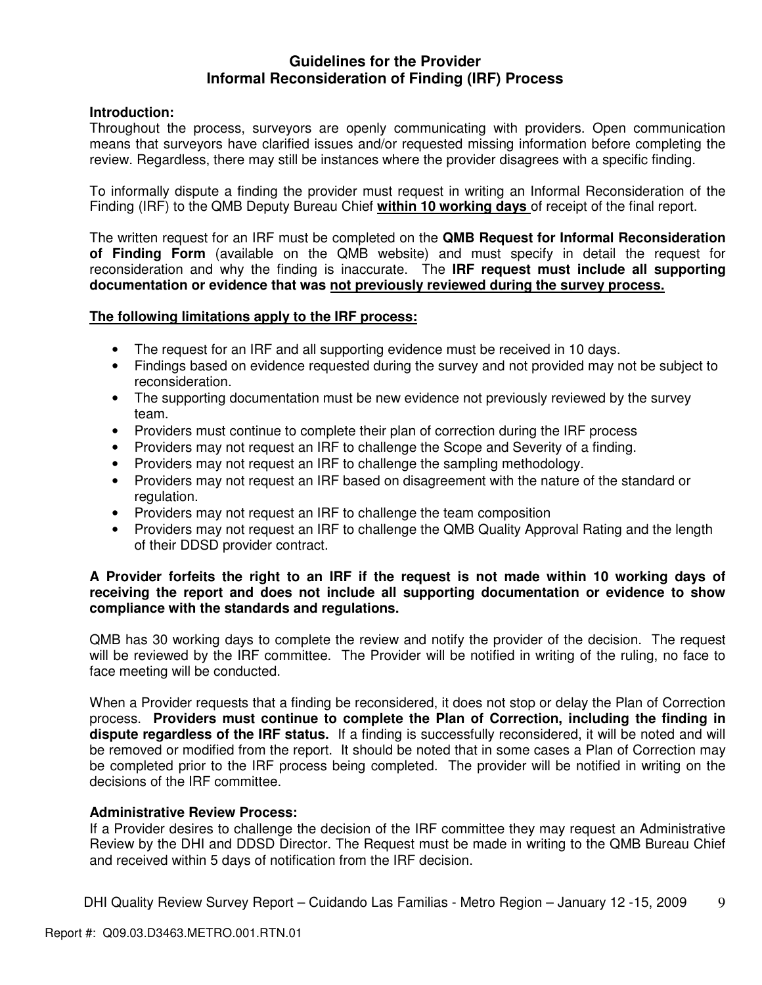## **Guidelines for the Provider Informal Reconsideration of Finding (IRF) Process**

## **Introduction:**

Throughout the process, surveyors are openly communicating with providers. Open communication means that surveyors have clarified issues and/or requested missing information before completing the review. Regardless, there may still be instances where the provider disagrees with a specific finding.

To informally dispute a finding the provider must request in writing an Informal Reconsideration of the Finding (IRF) to the QMB Deputy Bureau Chief **within 10 working days** of receipt of the final report.

The written request for an IRF must be completed on the **QMB Request for Informal Reconsideration of Finding Form** (available on the QMB website) and must specify in detail the request for reconsideration and why the finding is inaccurate. The **IRF request must include all supporting documentation or evidence that was not previously reviewed during the survey process.** 

## **The following limitations apply to the IRF process:**

- The request for an IRF and all supporting evidence must be received in 10 days.
- Findings based on evidence requested during the survey and not provided may not be subject to reconsideration.
- The supporting documentation must be new evidence not previously reviewed by the survey team.
- Providers must continue to complete their plan of correction during the IRF process
- Providers may not request an IRF to challenge the Scope and Severity of a finding.
- Providers may not request an IRF to challenge the sampling methodology.
- Providers may not request an IRF based on disagreement with the nature of the standard or regulation.
- Providers may not request an IRF to challenge the team composition
- Providers may not request an IRF to challenge the QMB Quality Approval Rating and the length of their DDSD provider contract.

## **A Provider forfeits the right to an IRF if the request is not made within 10 working days of receiving the report and does not include all supporting documentation or evidence to show compliance with the standards and regulations.**

QMB has 30 working days to complete the review and notify the provider of the decision. The request will be reviewed by the IRF committee. The Provider will be notified in writing of the ruling, no face to face meeting will be conducted.

When a Provider requests that a finding be reconsidered, it does not stop or delay the Plan of Correction process. **Providers must continue to complete the Plan of Correction, including the finding in dispute regardless of the IRF status.** If a finding is successfully reconsidered, it will be noted and will be removed or modified from the report. It should be noted that in some cases a Plan of Correction may be completed prior to the IRF process being completed. The provider will be notified in writing on the decisions of the IRF committee.

## **Administrative Review Process:**

If a Provider desires to challenge the decision of the IRF committee they may request an Administrative Review by the DHI and DDSD Director. The Request must be made in writing to the QMB Bureau Chief and received within 5 days of notification from the IRF decision.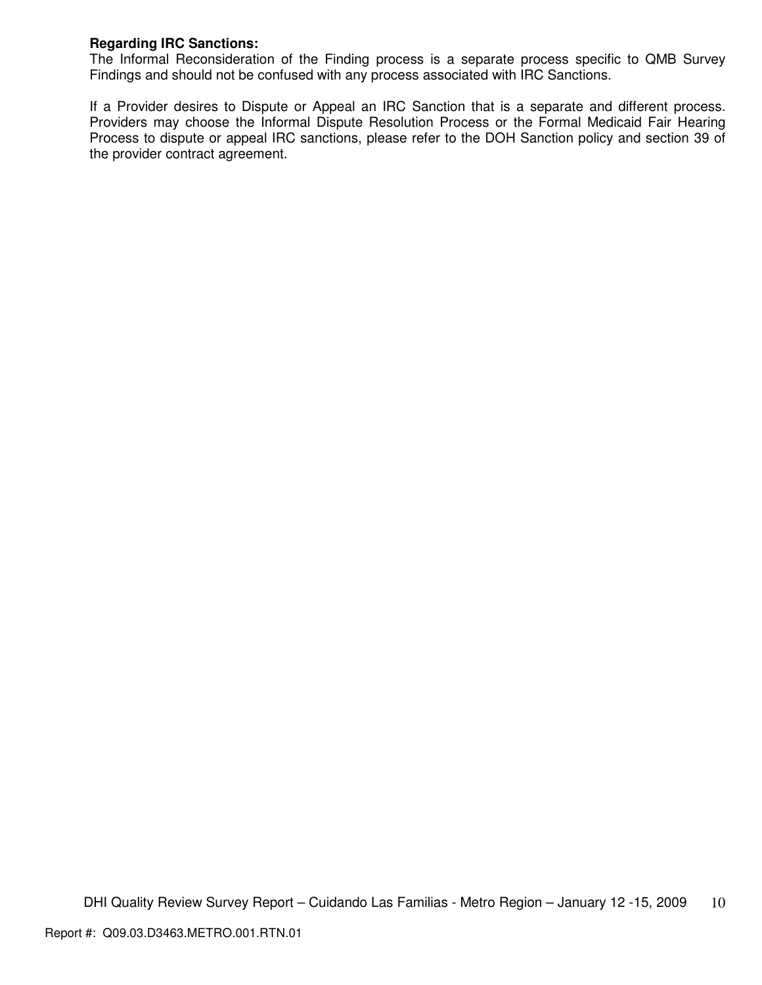## **Regarding IRC Sanctions:**

The Informal Reconsideration of the Finding process is a separate process specific to QMB Survey Findings and should not be confused with any process associated with IRC Sanctions.

If a Provider desires to Dispute or Appeal an IRC Sanction that is a separate and different process. Providers may choose the Informal Dispute Resolution Process or the Formal Medicaid Fair Hearing Process to dispute or appeal IRC sanctions, please refer to the DOH Sanction policy and section 39 of the provider contract agreement.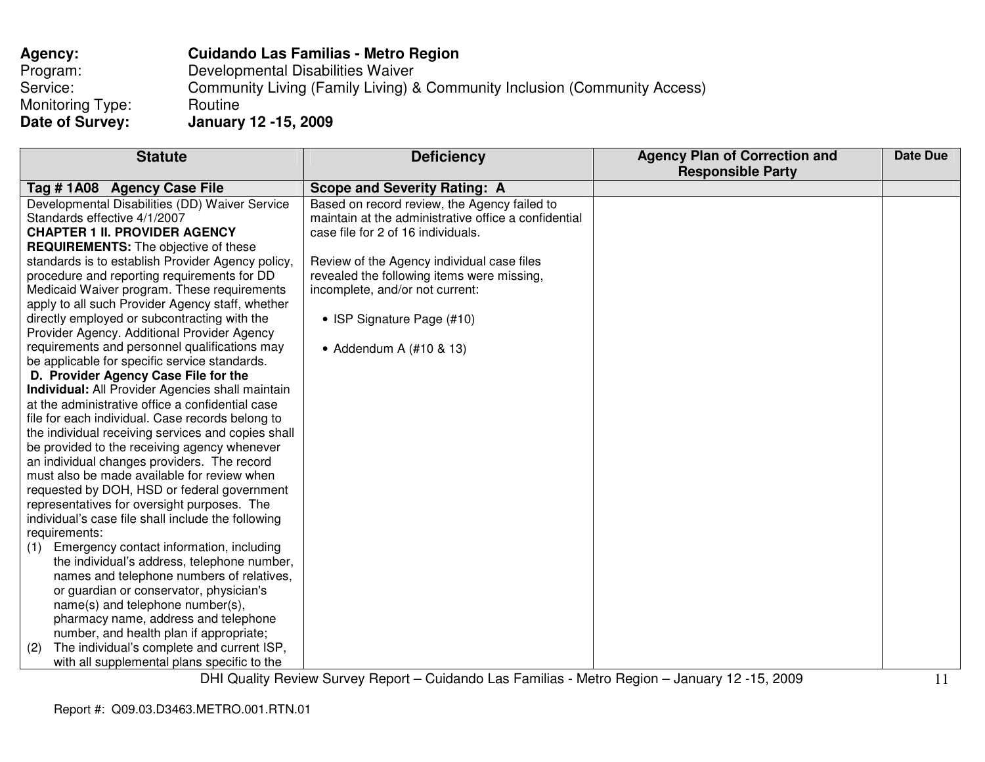| <b>Agency:</b>   | <b>Cuidando Las Familias - Metro Region</b>                               |
|------------------|---------------------------------------------------------------------------|
| Program:         | Developmental Disabilities Waiver                                         |
| Service:         | Community Living (Family Living) & Community Inclusion (Community Access) |
| Monitoring Type: | Routine                                                                   |
| Date of Survey:  | <b>January 12 -15, 2009</b>                                               |

| <b>Statute</b>                                          | <b>Deficiency</b>                                    | <b>Agency Plan of Correction and</b> | Date Due |
|---------------------------------------------------------|------------------------------------------------------|--------------------------------------|----------|
|                                                         |                                                      | <b>Responsible Party</b>             |          |
| Tag #1A08 Agency Case File                              | <b>Scope and Severity Rating: A</b>                  |                                      |          |
| Developmental Disabilities (DD) Waiver Service          | Based on record review, the Agency failed to         |                                      |          |
| Standards effective 4/1/2007                            | maintain at the administrative office a confidential |                                      |          |
| <b>CHAPTER 1 II. PROVIDER AGENCY</b>                    | case file for 2 of 16 individuals.                   |                                      |          |
| <b>REQUIREMENTS:</b> The objective of these             |                                                      |                                      |          |
| standards is to establish Provider Agency policy,       | Review of the Agency individual case files           |                                      |          |
| procedure and reporting requirements for DD             | revealed the following items were missing,           |                                      |          |
| Medicaid Waiver program. These requirements             | incomplete, and/or not current:                      |                                      |          |
| apply to all such Provider Agency staff, whether        |                                                      |                                      |          |
| directly employed or subcontracting with the            | • ISP Signature Page (#10)                           |                                      |          |
| Provider Agency. Additional Provider Agency             |                                                      |                                      |          |
| requirements and personnel qualifications may           | • Addendum A $(\#10 \& 13)$                          |                                      |          |
| be applicable for specific service standards.           |                                                      |                                      |          |
| D. Provider Agency Case File for the                    |                                                      |                                      |          |
| <b>Individual:</b> All Provider Agencies shall maintain |                                                      |                                      |          |
| at the administrative office a confidential case        |                                                      |                                      |          |
| file for each individual. Case records belong to        |                                                      |                                      |          |
| the individual receiving services and copies shall      |                                                      |                                      |          |
| be provided to the receiving agency whenever            |                                                      |                                      |          |
| an individual changes providers. The record             |                                                      |                                      |          |
| must also be made available for review when             |                                                      |                                      |          |
| requested by DOH, HSD or federal government             |                                                      |                                      |          |
| representatives for oversight purposes. The             |                                                      |                                      |          |
| individual's case file shall include the following      |                                                      |                                      |          |
| requirements:                                           |                                                      |                                      |          |
| Emergency contact information, including<br>(1)         |                                                      |                                      |          |
| the individual's address, telephone number,             |                                                      |                                      |          |
| names and telephone numbers of relatives,               |                                                      |                                      |          |
| or guardian or conservator, physician's                 |                                                      |                                      |          |
| name(s) and telephone number(s),                        |                                                      |                                      |          |
| pharmacy name, address and telephone                    |                                                      |                                      |          |
| number, and health plan if appropriate;                 |                                                      |                                      |          |
| The individual's complete and current ISP,<br>(2)       |                                                      |                                      |          |
| with all supplemental plans specific to the             |                                                      |                                      |          |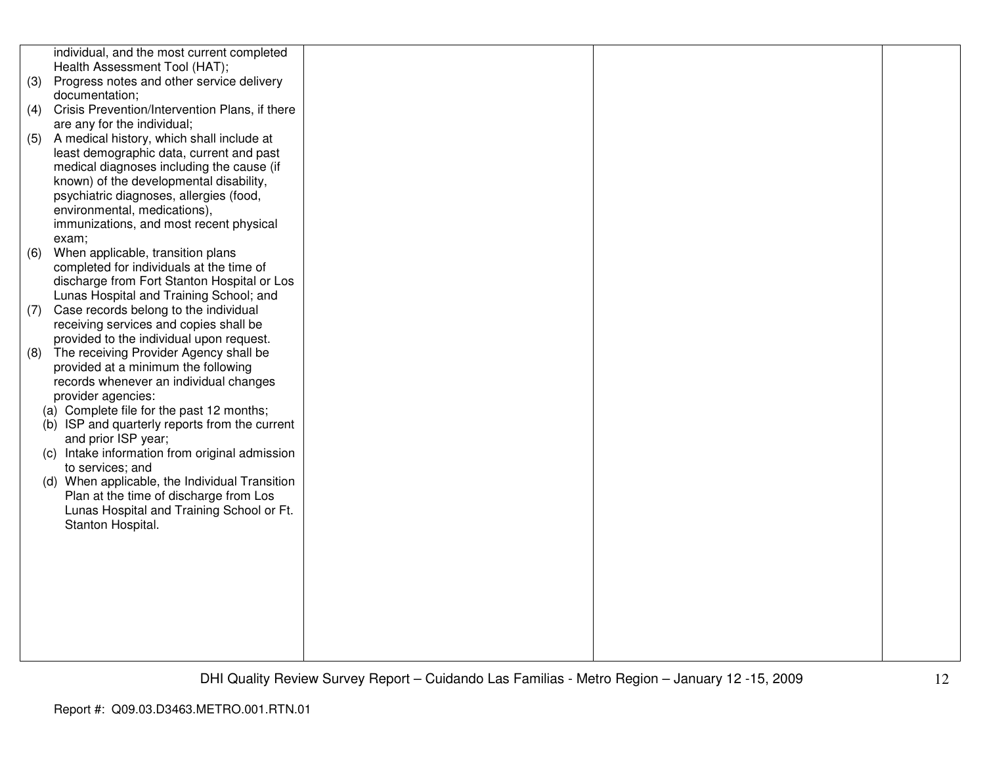|     | individual, and the most current completed     |  |  |
|-----|------------------------------------------------|--|--|
|     | Health Assessment Tool (HAT);                  |  |  |
| (3) | Progress notes and other service delivery      |  |  |
|     | documentation;                                 |  |  |
| (4) | Crisis Prevention/Intervention Plans, if there |  |  |
|     | are any for the individual;                    |  |  |
| (5) | A medical history, which shall include at      |  |  |
|     | least demographic data, current and past       |  |  |
|     | medical diagnoses including the cause (if      |  |  |
|     | known) of the developmental disability,        |  |  |
|     | psychiatric diagnoses, allergies (food,        |  |  |
|     | environmental, medications),                   |  |  |
|     | immunizations, and most recent physical        |  |  |
|     | exam;                                          |  |  |
| (6) | When applicable, transition plans              |  |  |
|     | completed for individuals at the time of       |  |  |
|     | discharge from Fort Stanton Hospital or Los    |  |  |
|     | Lunas Hospital and Training School; and        |  |  |
| (7) | Case records belong to the individual          |  |  |
|     | receiving services and copies shall be         |  |  |
|     | provided to the individual upon request.       |  |  |
| (8) | The receiving Provider Agency shall be         |  |  |
|     | provided at a minimum the following            |  |  |
|     | records whenever an individual changes         |  |  |
|     | provider agencies:                             |  |  |
|     | (a) Complete file for the past 12 months;      |  |  |
|     | (b) ISP and quarterly reports from the current |  |  |
|     | and prior ISP year;                            |  |  |
|     | (c) Intake information from original admission |  |  |
|     | to services; and                               |  |  |
|     | (d) When applicable, the Individual Transition |  |  |
|     | Plan at the time of discharge from Los         |  |  |
|     | Lunas Hospital and Training School or Ft.      |  |  |
|     | Stanton Hospital.                              |  |  |
|     |                                                |  |  |
|     |                                                |  |  |
|     |                                                |  |  |
|     |                                                |  |  |
|     |                                                |  |  |
|     |                                                |  |  |
|     |                                                |  |  |
|     |                                                |  |  |
|     |                                                |  |  |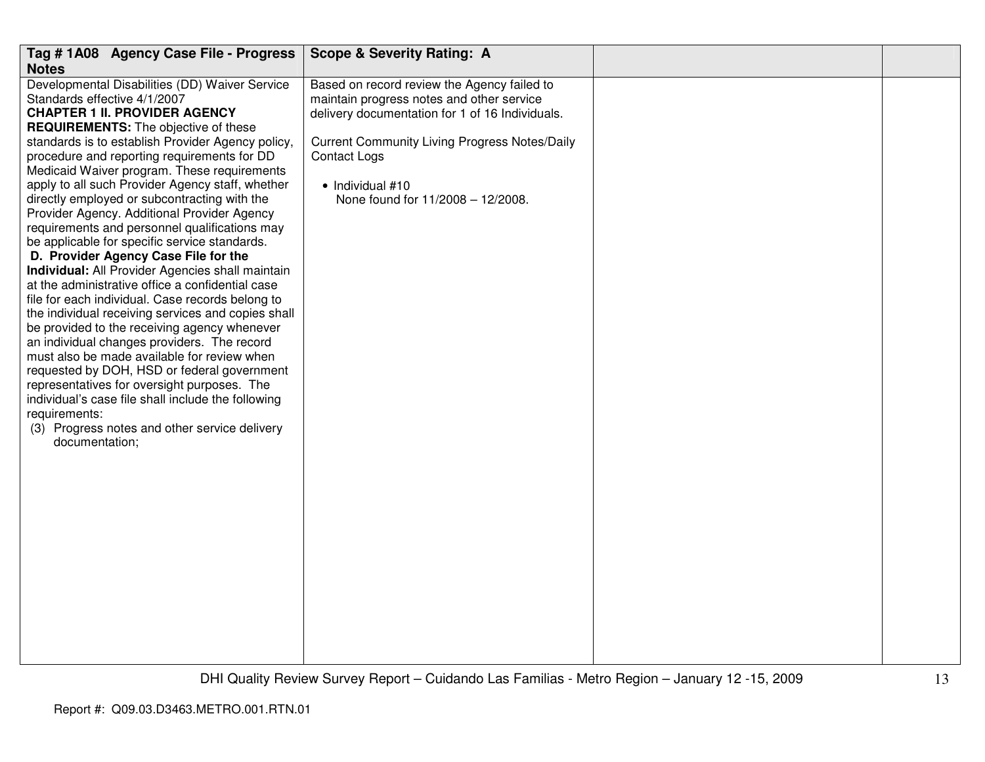| Tag # 1A08 Agency Case File - Progress                                                                                                                                                                                                                                                                                                                                                                                                                                                                                                                                                                                                                                                                                                                                                                                                                                                                                                                                                                                                                                                                                                                                                                                        | <b>Scope &amp; Severity Rating: A</b>                                                                                                                                                                                                                                               |  |
|-------------------------------------------------------------------------------------------------------------------------------------------------------------------------------------------------------------------------------------------------------------------------------------------------------------------------------------------------------------------------------------------------------------------------------------------------------------------------------------------------------------------------------------------------------------------------------------------------------------------------------------------------------------------------------------------------------------------------------------------------------------------------------------------------------------------------------------------------------------------------------------------------------------------------------------------------------------------------------------------------------------------------------------------------------------------------------------------------------------------------------------------------------------------------------------------------------------------------------|-------------------------------------------------------------------------------------------------------------------------------------------------------------------------------------------------------------------------------------------------------------------------------------|--|
| <b>Notes</b>                                                                                                                                                                                                                                                                                                                                                                                                                                                                                                                                                                                                                                                                                                                                                                                                                                                                                                                                                                                                                                                                                                                                                                                                                  |                                                                                                                                                                                                                                                                                     |  |
| Developmental Disabilities (DD) Waiver Service<br>Standards effective 4/1/2007<br><b>CHAPTER 1 II. PROVIDER AGENCY</b><br><b>REQUIREMENTS:</b> The objective of these<br>standards is to establish Provider Agency policy,<br>procedure and reporting requirements for DD<br>Medicaid Waiver program. These requirements<br>apply to all such Provider Agency staff, whether<br>directly employed or subcontracting with the<br>Provider Agency. Additional Provider Agency<br>requirements and personnel qualifications may<br>be applicable for specific service standards.<br>D. Provider Agency Case File for the<br>Individual: All Provider Agencies shall maintain<br>at the administrative office a confidential case<br>file for each individual. Case records belong to<br>the individual receiving services and copies shall<br>be provided to the receiving agency whenever<br>an individual changes providers. The record<br>must also be made available for review when<br>requested by DOH, HSD or federal government<br>representatives for oversight purposes. The<br>individual's case file shall include the following<br>requirements:<br>(3) Progress notes and other service delivery<br>documentation; | Based on record review the Agency failed to<br>maintain progress notes and other service<br>delivery documentation for 1 of 16 Individuals.<br><b>Current Community Living Progress Notes/Daily</b><br><b>Contact Logs</b><br>• Individual #10<br>None found for 11/2008 - 12/2008. |  |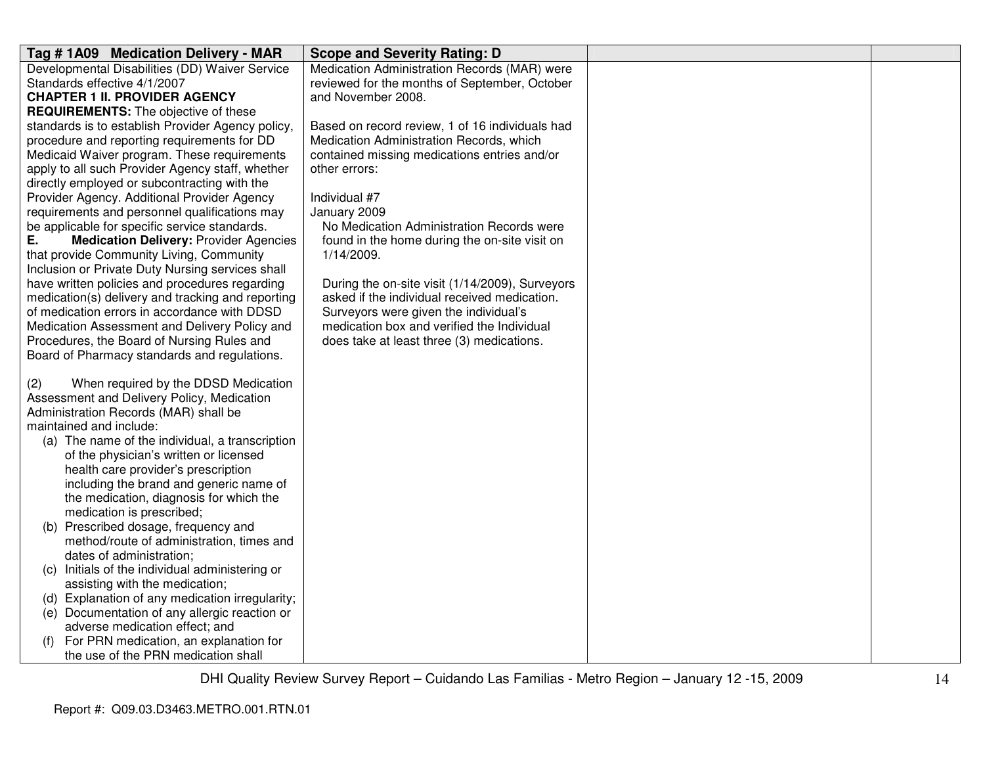| Tag # 1A09 Medication Delivery - MAR                | <b>Scope and Severity Rating: D</b>             |  |
|-----------------------------------------------------|-------------------------------------------------|--|
| Developmental Disabilities (DD) Waiver Service      | Medication Administration Records (MAR) were    |  |
| Standards effective 4/1/2007                        | reviewed for the months of September, October   |  |
| <b>CHAPTER 1 II. PROVIDER AGENCY</b>                | and November 2008.                              |  |
| <b>REQUIREMENTS:</b> The objective of these         |                                                 |  |
| standards is to establish Provider Agency policy,   | Based on record review, 1 of 16 individuals had |  |
| procedure and reporting requirements for DD         | Medication Administration Records, which        |  |
| Medicaid Waiver program. These requirements         | contained missing medications entries and/or    |  |
| apply to all such Provider Agency staff, whether    | other errors:                                   |  |
| directly employed or subcontracting with the        |                                                 |  |
| Provider Agency. Additional Provider Agency         | Individual #7                                   |  |
| requirements and personnel qualifications may       | January 2009                                    |  |
| be applicable for specific service standards.       | No Medication Administration Records were       |  |
| <b>Medication Delivery: Provider Agencies</b><br>Е. | found in the home during the on-site visit on   |  |
| that provide Community Living, Community            | 1/14/2009.                                      |  |
| Inclusion or Private Duty Nursing services shall    |                                                 |  |
| have written policies and procedures regarding      | During the on-site visit (1/14/2009), Surveyors |  |
| medication(s) delivery and tracking and reporting   | asked if the individual received medication.    |  |
| of medication errors in accordance with DDSD        | Surveyors were given the individual's           |  |
| Medication Assessment and Delivery Policy and       | medication box and verified the Individual      |  |
| Procedures, the Board of Nursing Rules and          | does take at least three (3) medications.       |  |
| Board of Pharmacy standards and regulations.        |                                                 |  |
|                                                     |                                                 |  |
| When required by the DDSD Medication<br>(2)         |                                                 |  |
| Assessment and Delivery Policy, Medication          |                                                 |  |
| Administration Records (MAR) shall be               |                                                 |  |
| maintained and include:                             |                                                 |  |
| (a) The name of the individual, a transcription     |                                                 |  |
| of the physician's written or licensed              |                                                 |  |
| health care provider's prescription                 |                                                 |  |
| including the brand and generic name of             |                                                 |  |
| the medication, diagnosis for which the             |                                                 |  |
| medication is prescribed;                           |                                                 |  |
| (b) Prescribed dosage, frequency and                |                                                 |  |
| method/route of administration, times and           |                                                 |  |
| dates of administration;                            |                                                 |  |
| Initials of the individual administering or<br>(C)  |                                                 |  |
| assisting with the medication;                      |                                                 |  |
| (d) Explanation of any medication irregularity;     |                                                 |  |
| (e) Documentation of any allergic reaction or       |                                                 |  |
| adverse medication effect; and                      |                                                 |  |
| For PRN medication, an explanation for              |                                                 |  |
| the use of the PRN medication shall                 |                                                 |  |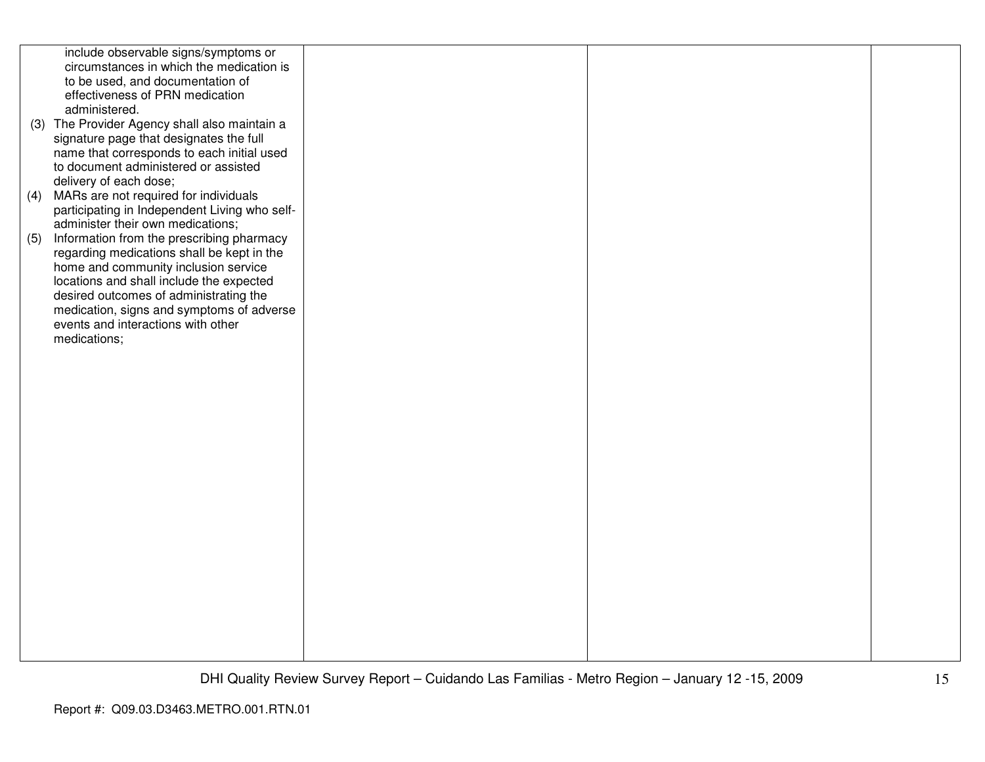|     | include observable signs/symptoms or          |  |  |
|-----|-----------------------------------------------|--|--|
|     | circumstances in which the medication is      |  |  |
|     | to be used, and documentation of              |  |  |
|     | effectiveness of PRN medication               |  |  |
|     | administered.                                 |  |  |
|     |                                               |  |  |
|     | (3) The Provider Agency shall also maintain a |  |  |
|     | signature page that designates the full       |  |  |
|     | name that corresponds to each initial used    |  |  |
|     | to document administered or assisted          |  |  |
|     | delivery of each dose;                        |  |  |
| (4) | MARs are not required for individuals         |  |  |
|     | participating in Independent Living who self- |  |  |
|     | administer their own medications;             |  |  |
| (5) | Information from the prescribing pharmacy     |  |  |
|     | regarding medications shall be kept in the    |  |  |
|     | home and community inclusion service          |  |  |
|     |                                               |  |  |
|     | locations and shall include the expected      |  |  |
|     | desired outcomes of administrating the        |  |  |
|     | medication, signs and symptoms of adverse     |  |  |
|     | events and interactions with other            |  |  |
|     | medications;                                  |  |  |
|     |                                               |  |  |
|     |                                               |  |  |
|     |                                               |  |  |
|     |                                               |  |  |
|     |                                               |  |  |
|     |                                               |  |  |
|     |                                               |  |  |
|     |                                               |  |  |
|     |                                               |  |  |
|     |                                               |  |  |
|     |                                               |  |  |
|     |                                               |  |  |
|     |                                               |  |  |
|     |                                               |  |  |
|     |                                               |  |  |
|     |                                               |  |  |
|     |                                               |  |  |
|     |                                               |  |  |
|     |                                               |  |  |
|     |                                               |  |  |
|     |                                               |  |  |
|     |                                               |  |  |
|     |                                               |  |  |
|     |                                               |  |  |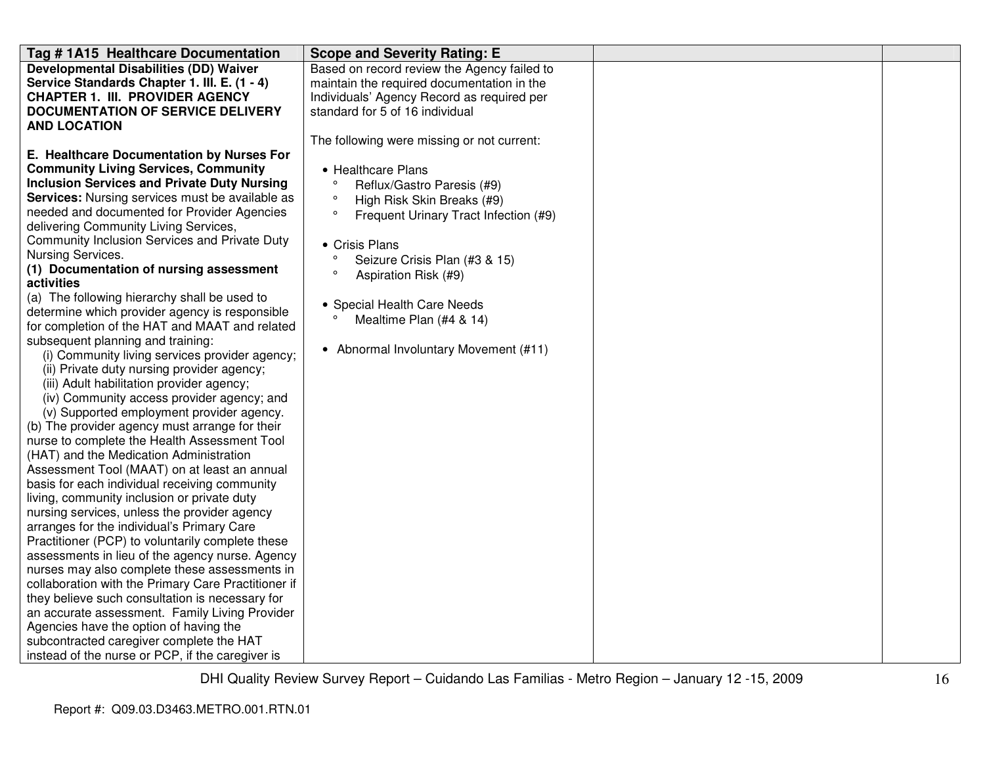| Tag #1A15 Healthcare Documentation                                                   | <b>Scope and Severity Rating: E</b>              |  |
|--------------------------------------------------------------------------------------|--------------------------------------------------|--|
| <b>Developmental Disabilities (DD) Waiver</b>                                        | Based on record review the Agency failed to      |  |
| Service Standards Chapter 1. III. E. (1 - 4)                                         | maintain the required documentation in the       |  |
| <b>CHAPTER 1. III. PROVIDER AGENCY</b>                                               | Individuals' Agency Record as required per       |  |
| <b>DOCUMENTATION OF SERVICE DELIVERY</b>                                             | standard for 5 of 16 individual                  |  |
| <b>AND LOCATION</b>                                                                  |                                                  |  |
|                                                                                      | The following were missing or not current:       |  |
| E. Healthcare Documentation by Nurses For                                            |                                                  |  |
| <b>Community Living Services, Community</b>                                          | • Healthcare Plans                               |  |
| <b>Inclusion Services and Private Duty Nursing</b>                                   | Reflux/Gastro Paresis (#9)                       |  |
| <b>Services:</b> Nursing services must be available as                               | $\circ$<br>High Risk Skin Breaks (#9)            |  |
| needed and documented for Provider Agencies<br>delivering Community Living Services, | $\circ$<br>Frequent Urinary Tract Infection (#9) |  |
| Community Inclusion Services and Private Duty                                        |                                                  |  |
| Nursing Services.                                                                    | • Crisis Plans<br>$\circ$                        |  |
| (1) Documentation of nursing assessment                                              | Seizure Crisis Plan (#3 & 15)<br>$\circ$         |  |
| activities                                                                           | Aspiration Risk (#9)                             |  |
| (a) The following hierarchy shall be used to                                         | • Special Health Care Needs                      |  |
| determine which provider agency is responsible                                       | Mealtime Plan (#4 & 14)                          |  |
| for completion of the HAT and MAAT and related                                       |                                                  |  |
| subsequent planning and training:                                                    |                                                  |  |
| (i) Community living services provider agency;                                       | • Abnormal Involuntary Movement (#11)            |  |
| (ii) Private duty nursing provider agency;                                           |                                                  |  |
| (iii) Adult habilitation provider agency;                                            |                                                  |  |
| (iv) Community access provider agency; and                                           |                                                  |  |
| (v) Supported employment provider agency.                                            |                                                  |  |
| (b) The provider agency must arrange for their                                       |                                                  |  |
| nurse to complete the Health Assessment Tool                                         |                                                  |  |
| (HAT) and the Medication Administration                                              |                                                  |  |
| Assessment Tool (MAAT) on at least an annual                                         |                                                  |  |
| basis for each individual receiving community                                        |                                                  |  |
| living, community inclusion or private duty                                          |                                                  |  |
| nursing services, unless the provider agency                                         |                                                  |  |
| arranges for the individual's Primary Care                                           |                                                  |  |
| Practitioner (PCP) to voluntarily complete these                                     |                                                  |  |
| assessments in lieu of the agency nurse. Agency                                      |                                                  |  |
| nurses may also complete these assessments in                                        |                                                  |  |
| collaboration with the Primary Care Practitioner if                                  |                                                  |  |
| they believe such consultation is necessary for                                      |                                                  |  |
| an accurate assessment. Family Living Provider                                       |                                                  |  |
| Agencies have the option of having the                                               |                                                  |  |
| subcontracted caregiver complete the HAT                                             |                                                  |  |
| instead of the nurse or PCP, if the caregiver is                                     |                                                  |  |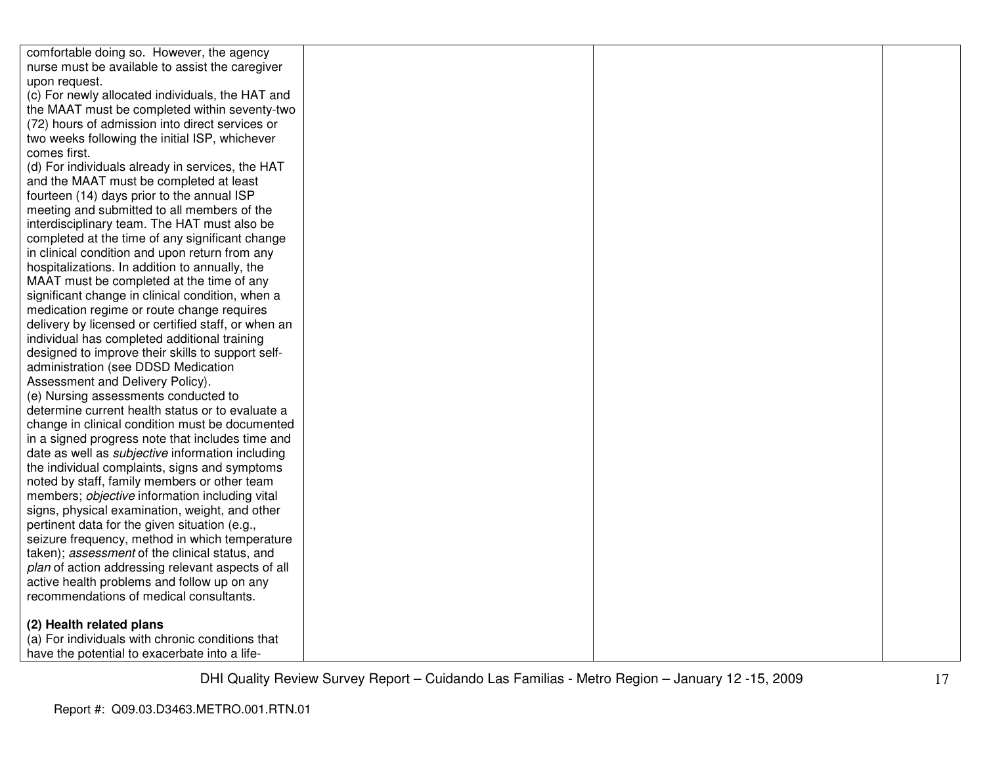| comfortable doing so. However, the agency               |  |  |
|---------------------------------------------------------|--|--|
| nurse must be available to assist the caregiver         |  |  |
| upon request.                                           |  |  |
| (c) For newly allocated individuals, the HAT and        |  |  |
| the MAAT must be completed within seventy-two           |  |  |
| (72) hours of admission into direct services or         |  |  |
| two weeks following the initial ISP, whichever          |  |  |
| comes first.                                            |  |  |
| (d) For individuals already in services, the HAT        |  |  |
| and the MAAT must be completed at least                 |  |  |
| fourteen (14) days prior to the annual ISP              |  |  |
| meeting and submitted to all members of the             |  |  |
| interdisciplinary team. The HAT must also be            |  |  |
| completed at the time of any significant change         |  |  |
| in clinical condition and upon return from any          |  |  |
| hospitalizations. In addition to annually, the          |  |  |
| MAAT must be completed at the time of any               |  |  |
| significant change in clinical condition, when a        |  |  |
| medication regime or route change requires              |  |  |
| delivery by licensed or certified staff, or when an     |  |  |
| individual has completed additional training            |  |  |
| designed to improve their skills to support self-       |  |  |
| administration (see DDSD Medication                     |  |  |
| Assessment and Delivery Policy).                        |  |  |
| (e) Nursing assessments conducted to                    |  |  |
| determine current health status or to evaluate a        |  |  |
| change in clinical condition must be documented         |  |  |
| in a signed progress note that includes time and        |  |  |
| date as well as <i>subjective</i> information including |  |  |
| the individual complaints, signs and symptoms           |  |  |
| noted by staff, family members or other team            |  |  |
| members; objective information including vital          |  |  |
| signs, physical examination, weight, and other          |  |  |
| pertinent data for the given situation (e.g.,           |  |  |
| seizure frequency, method in which temperature          |  |  |
| taken); assessment of the clinical status, and          |  |  |
| plan of action addressing relevant aspects of all       |  |  |
| active health problems and follow up on any             |  |  |
| recommendations of medical consultants.                 |  |  |
| (2) Health related plans                                |  |  |
| (a) For individuals with chronic conditions that        |  |  |
| have the potential to exacerbate into a life-           |  |  |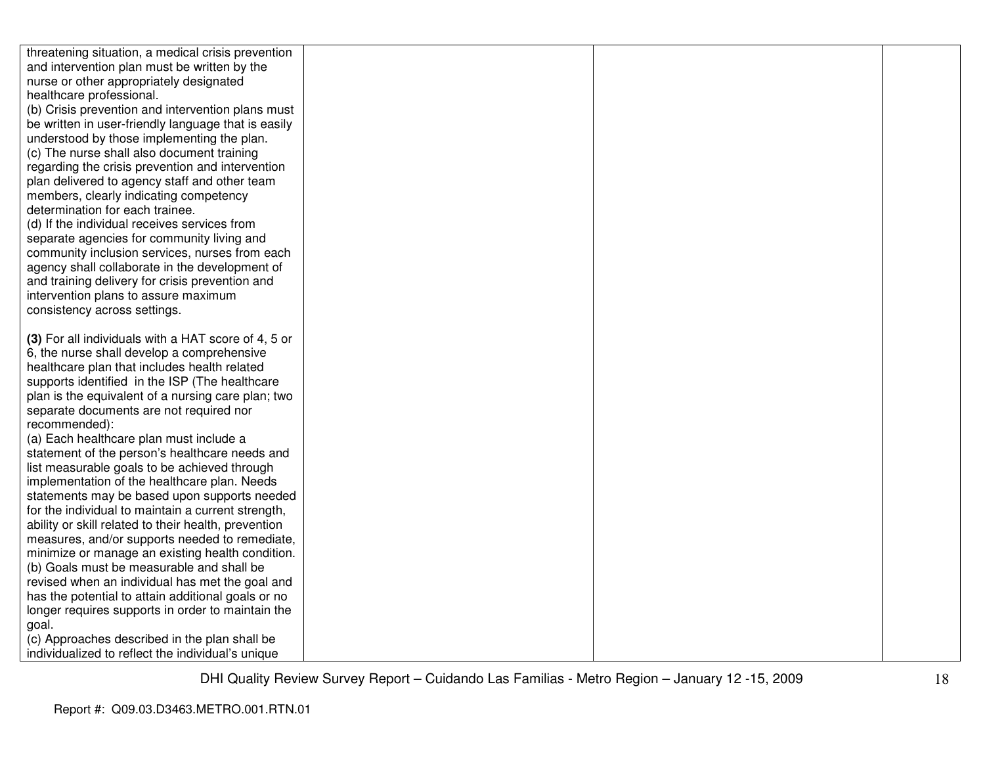| threatening situation, a medical crisis prevention                                             |  |  |
|------------------------------------------------------------------------------------------------|--|--|
| and intervention plan must be written by the                                                   |  |  |
| nurse or other appropriately designated                                                        |  |  |
| healthcare professional.                                                                       |  |  |
| (b) Crisis prevention and intervention plans must                                              |  |  |
| be written in user-friendly language that is easily                                            |  |  |
| understood by those implementing the plan.                                                     |  |  |
| (c) The nurse shall also document training                                                     |  |  |
| regarding the crisis prevention and intervention                                               |  |  |
| plan delivered to agency staff and other team                                                  |  |  |
| members, clearly indicating competency                                                         |  |  |
| determination for each trainee.                                                                |  |  |
| (d) If the individual receives services from                                                   |  |  |
| separate agencies for community living and                                                     |  |  |
| community inclusion services, nurses from each                                                 |  |  |
| agency shall collaborate in the development of                                                 |  |  |
| and training delivery for crisis prevention and                                                |  |  |
| intervention plans to assure maximum                                                           |  |  |
| consistency across settings.                                                                   |  |  |
|                                                                                                |  |  |
| (3) For all individuals with a HAT score of 4, 5 or                                            |  |  |
| 6, the nurse shall develop a comprehensive                                                     |  |  |
| healthcare plan that includes health related                                                   |  |  |
| supports identified in the ISP (The healthcare                                                 |  |  |
| plan is the equivalent of a nursing care plan; two                                             |  |  |
| separate documents are not required nor                                                        |  |  |
| recommended):                                                                                  |  |  |
| (a) Each healthcare plan must include a                                                        |  |  |
| statement of the person's healthcare needs and<br>list measurable goals to be achieved through |  |  |
| implementation of the healthcare plan. Needs                                                   |  |  |
| statements may be based upon supports needed                                                   |  |  |
| for the individual to maintain a current strength,                                             |  |  |
| ability or skill related to their health, prevention                                           |  |  |
| measures, and/or supports needed to remediate,                                                 |  |  |
| minimize or manage an existing health condition.                                               |  |  |
| (b) Goals must be measurable and shall be                                                      |  |  |
| revised when an individual has met the goal and                                                |  |  |
| has the potential to attain additional goals or no                                             |  |  |
| longer requires supports in order to maintain the                                              |  |  |
| goal.                                                                                          |  |  |
| (c) Approaches described in the plan shall be                                                  |  |  |
| individualized to reflect the individual's unique                                              |  |  |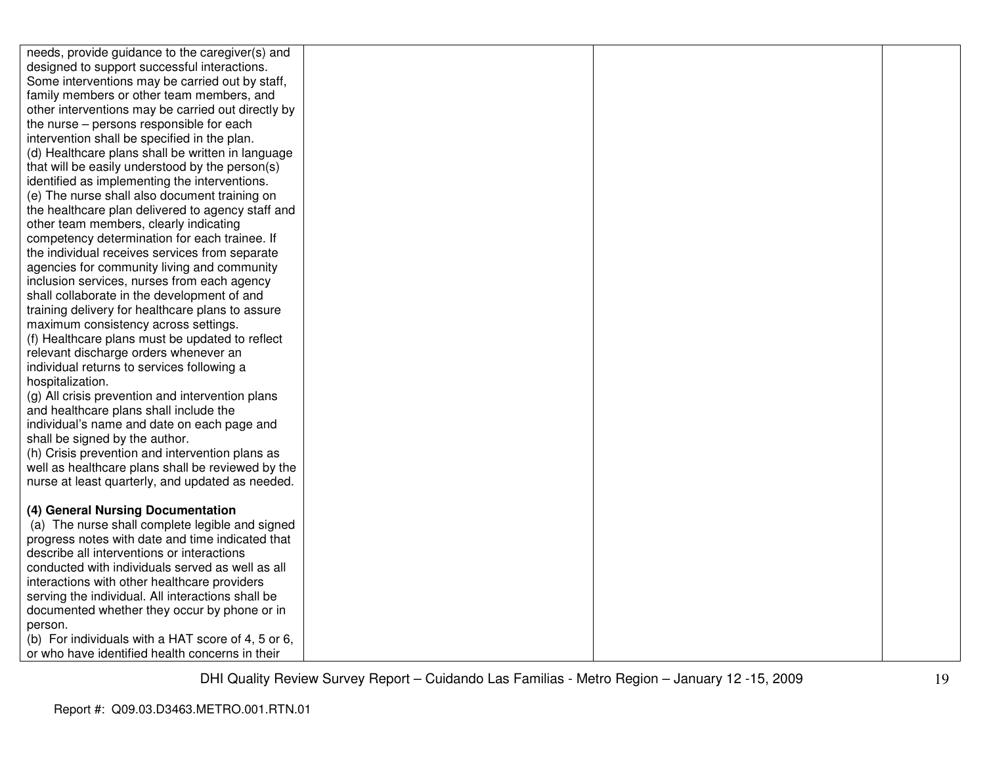| needs, provide guidance to the caregiver(s) and                                                   |  |  |
|---------------------------------------------------------------------------------------------------|--|--|
| designed to support successful interactions.                                                      |  |  |
| Some interventions may be carried out by staff,                                                   |  |  |
| family members or other team members, and                                                         |  |  |
| other interventions may be carried out directly by                                                |  |  |
| the nurse – persons responsible for each                                                          |  |  |
| intervention shall be specified in the plan.                                                      |  |  |
| (d) Healthcare plans shall be written in language                                                 |  |  |
| that will be easily understood by the person(s)                                                   |  |  |
| identified as implementing the interventions.                                                     |  |  |
| (e) The nurse shall also document training on                                                     |  |  |
| the healthcare plan delivered to agency staff and                                                 |  |  |
| other team members, clearly indicating                                                            |  |  |
| competency determination for each trainee. If                                                     |  |  |
| the individual receives services from separate                                                    |  |  |
| agencies for community living and community                                                       |  |  |
| inclusion services, nurses from each agency                                                       |  |  |
| shall collaborate in the development of and                                                       |  |  |
| training delivery for healthcare plans to assure                                                  |  |  |
| maximum consistency across settings.                                                              |  |  |
| (f) Healthcare plans must be updated to reflect                                                   |  |  |
| relevant discharge orders whenever an                                                             |  |  |
| individual returns to services following a                                                        |  |  |
| hospitalization.                                                                                  |  |  |
| (g) All crisis prevention and intervention plans                                                  |  |  |
| and healthcare plans shall include the                                                            |  |  |
| individual's name and date on each page and                                                       |  |  |
| shall be signed by the author.                                                                    |  |  |
| (h) Crisis prevention and intervention plans as                                                   |  |  |
| well as healthcare plans shall be reviewed by the                                                 |  |  |
| nurse at least quarterly, and updated as needed.                                                  |  |  |
|                                                                                                   |  |  |
| (4) General Nursing Documentation                                                                 |  |  |
| (a) The nurse shall complete legible and signed                                                   |  |  |
| progress notes with date and time indicated that                                                  |  |  |
| describe all interventions or interactions                                                        |  |  |
| conducted with individuals served as well as all                                                  |  |  |
| interactions with other healthcare providers                                                      |  |  |
| serving the individual. All interactions shall be<br>documented whether they occur by phone or in |  |  |
| person.                                                                                           |  |  |
| (b) For individuals with a HAT score of 4, 5 or 6,                                                |  |  |
| or who have identified health concerns in their                                                   |  |  |
|                                                                                                   |  |  |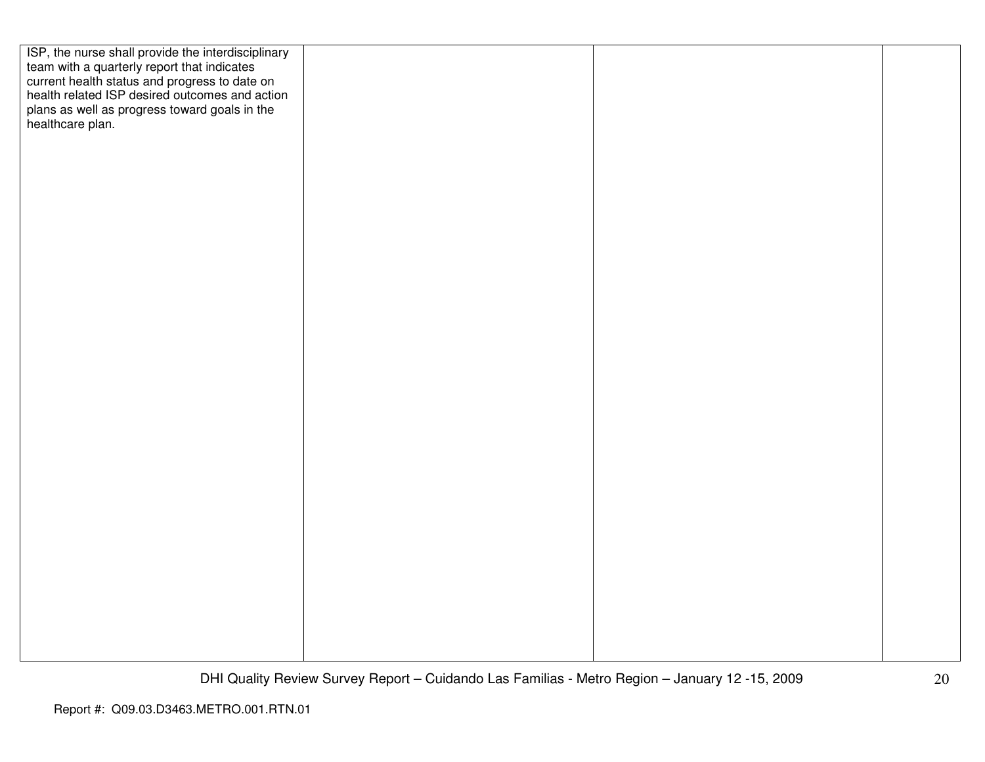| ISP, the nurse shall provide the interdisciplinary<br>team with a quarterly report that indicates<br>current health status and progress to date on<br>health related ISP desired outcomes and action |  |  |
|------------------------------------------------------------------------------------------------------------------------------------------------------------------------------------------------------|--|--|
|                                                                                                                                                                                                      |  |  |
|                                                                                                                                                                                                      |  |  |
| plans as well as progress toward goals in the<br>healthcare plan.                                                                                                                                    |  |  |
|                                                                                                                                                                                                      |  |  |
|                                                                                                                                                                                                      |  |  |
|                                                                                                                                                                                                      |  |  |
|                                                                                                                                                                                                      |  |  |
|                                                                                                                                                                                                      |  |  |
|                                                                                                                                                                                                      |  |  |
|                                                                                                                                                                                                      |  |  |
|                                                                                                                                                                                                      |  |  |
|                                                                                                                                                                                                      |  |  |
|                                                                                                                                                                                                      |  |  |
|                                                                                                                                                                                                      |  |  |
|                                                                                                                                                                                                      |  |  |
|                                                                                                                                                                                                      |  |  |
|                                                                                                                                                                                                      |  |  |
|                                                                                                                                                                                                      |  |  |
|                                                                                                                                                                                                      |  |  |
|                                                                                                                                                                                                      |  |  |
|                                                                                                                                                                                                      |  |  |
|                                                                                                                                                                                                      |  |  |
|                                                                                                                                                                                                      |  |  |
|                                                                                                                                                                                                      |  |  |
|                                                                                                                                                                                                      |  |  |
|                                                                                                                                                                                                      |  |  |
|                                                                                                                                                                                                      |  |  |
|                                                                                                                                                                                                      |  |  |
|                                                                                                                                                                                                      |  |  |
|                                                                                                                                                                                                      |  |  |
|                                                                                                                                                                                                      |  |  |
|                                                                                                                                                                                                      |  |  |
|                                                                                                                                                                                                      |  |  |
|                                                                                                                                                                                                      |  |  |
|                                                                                                                                                                                                      |  |  |
|                                                                                                                                                                                                      |  |  |
|                                                                                                                                                                                                      |  |  |
|                                                                                                                                                                                                      |  |  |
|                                                                                                                                                                                                      |  |  |
|                                                                                                                                                                                                      |  |  |
|                                                                                                                                                                                                      |  |  |
|                                                                                                                                                                                                      |  |  |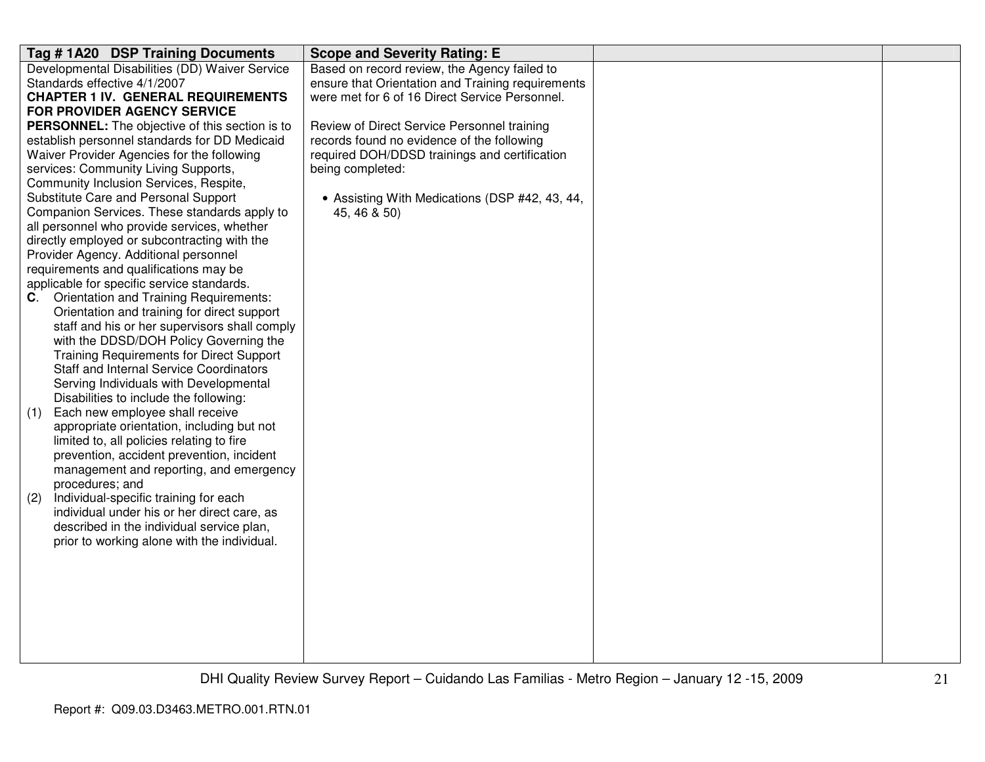| Tag #1A20 DSP Training Documents                                                             | <b>Scope and Severity Rating: E</b>               |  |
|----------------------------------------------------------------------------------------------|---------------------------------------------------|--|
| Developmental Disabilities (DD) Waiver Service                                               | Based on record review, the Agency failed to      |  |
| Standards effective 4/1/2007                                                                 | ensure that Orientation and Training requirements |  |
| <b>CHAPTER 1 IV. GENERAL REQUIREMENTS</b>                                                    | were met for 6 of 16 Direct Service Personnel.    |  |
| <b>FOR PROVIDER AGENCY SERVICE</b>                                                           |                                                   |  |
| <b>PERSONNEL:</b> The objective of this section is to                                        | Review of Direct Service Personnel training       |  |
| establish personnel standards for DD Medicaid                                                | records found no evidence of the following        |  |
| Waiver Provider Agencies for the following                                                   | required DOH/DDSD trainings and certification     |  |
| services: Community Living Supports,                                                         | being completed:                                  |  |
| Community Inclusion Services, Respite,                                                       |                                                   |  |
| Substitute Care and Personal Support                                                         | • Assisting With Medications (DSP #42, 43, 44,    |  |
| Companion Services. These standards apply to                                                 | 45, 46 & 50)                                      |  |
| all personnel who provide services, whether                                                  |                                                   |  |
| directly employed or subcontracting with the                                                 |                                                   |  |
| Provider Agency. Additional personnel                                                        |                                                   |  |
| requirements and qualifications may be                                                       |                                                   |  |
| applicable for specific service standards.                                                   |                                                   |  |
| <b>Orientation and Training Requirements:</b><br>C.                                          |                                                   |  |
| Orientation and training for direct support<br>staff and his or her supervisors shall comply |                                                   |  |
| with the DDSD/DOH Policy Governing the                                                       |                                                   |  |
| <b>Training Requirements for Direct Support</b>                                              |                                                   |  |
| Staff and Internal Service Coordinators                                                      |                                                   |  |
| Serving Individuals with Developmental                                                       |                                                   |  |
| Disabilities to include the following:                                                       |                                                   |  |
| Each new employee shall receive<br>(1)                                                       |                                                   |  |
| appropriate orientation, including but not                                                   |                                                   |  |
| limited to, all policies relating to fire                                                    |                                                   |  |
| prevention, accident prevention, incident                                                    |                                                   |  |
| management and reporting, and emergency                                                      |                                                   |  |
| procedures; and                                                                              |                                                   |  |
| Individual-specific training for each<br>(2)                                                 |                                                   |  |
| individual under his or her direct care, as                                                  |                                                   |  |
| described in the individual service plan,                                                    |                                                   |  |
| prior to working alone with the individual.                                                  |                                                   |  |
|                                                                                              |                                                   |  |
|                                                                                              |                                                   |  |
|                                                                                              |                                                   |  |
|                                                                                              |                                                   |  |
|                                                                                              |                                                   |  |
|                                                                                              |                                                   |  |
|                                                                                              |                                                   |  |
|                                                                                              |                                                   |  |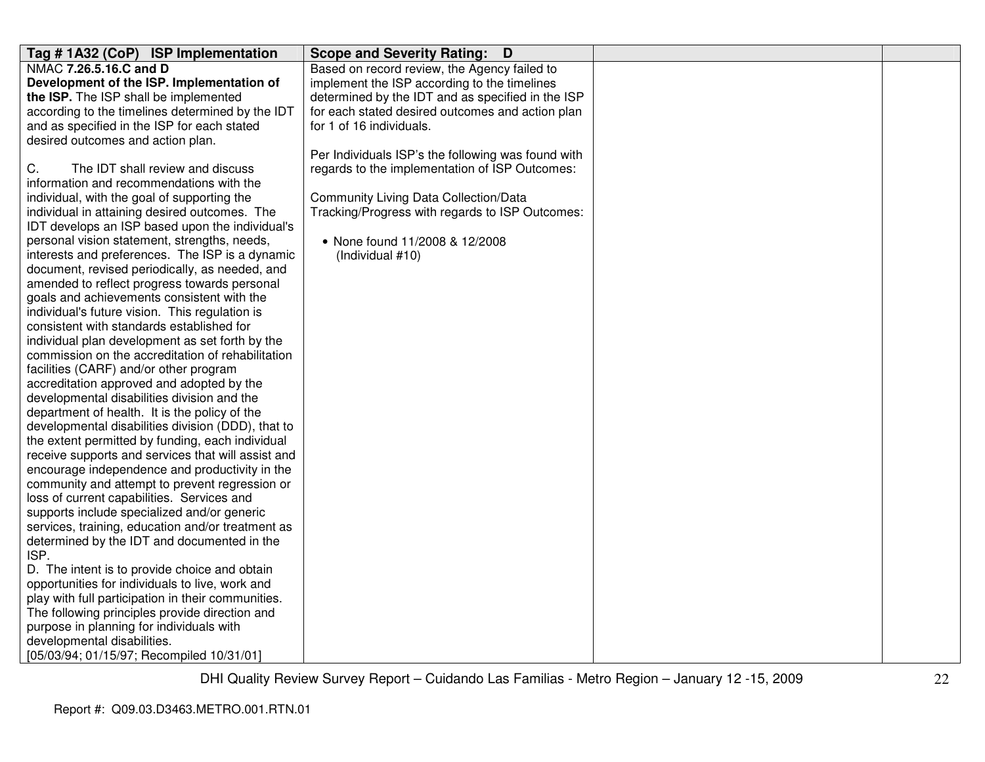| Tag #1A32 (CoP) ISP Implementation                                                                     | Scope and Severity Rating: D                       |  |
|--------------------------------------------------------------------------------------------------------|----------------------------------------------------|--|
| NMAC 7.26.5.16.C and D                                                                                 | Based on record review, the Agency failed to       |  |
| Development of the ISP. Implementation of                                                              | implement the ISP according to the timelines       |  |
| the ISP. The ISP shall be implemented                                                                  | determined by the IDT and as specified in the ISP  |  |
| according to the timelines determined by the IDT                                                       | for each stated desired outcomes and action plan   |  |
| and as specified in the ISP for each stated                                                            | for 1 of 16 individuals.                           |  |
| desired outcomes and action plan.                                                                      |                                                    |  |
|                                                                                                        | Per Individuals ISP's the following was found with |  |
| The IDT shall review and discuss<br>C.                                                                 | regards to the implementation of ISP Outcomes:     |  |
| information and recommendations with the                                                               |                                                    |  |
| individual, with the goal of supporting the                                                            | <b>Community Living Data Collection/Data</b>       |  |
| individual in attaining desired outcomes. The                                                          | Tracking/Progress with regards to ISP Outcomes:    |  |
| IDT develops an ISP based upon the individual's                                                        |                                                    |  |
| personal vision statement, strengths, needs,                                                           | • None found 11/2008 & 12/2008                     |  |
| interests and preferences. The ISP is a dynamic                                                        | (Individual #10)                                   |  |
| document, revised periodically, as needed, and                                                         |                                                    |  |
| amended to reflect progress towards personal                                                           |                                                    |  |
| goals and achievements consistent with the                                                             |                                                    |  |
| individual's future vision. This regulation is                                                         |                                                    |  |
| consistent with standards established for                                                              |                                                    |  |
| individual plan development as set forth by the                                                        |                                                    |  |
| commission on the accreditation of rehabilitation                                                      |                                                    |  |
| facilities (CARF) and/or other program                                                                 |                                                    |  |
| accreditation approved and adopted by the                                                              |                                                    |  |
| developmental disabilities division and the                                                            |                                                    |  |
| department of health. It is the policy of the                                                          |                                                    |  |
| developmental disabilities division (DDD), that to                                                     |                                                    |  |
| the extent permitted by funding, each individual<br>receive supports and services that will assist and |                                                    |  |
| encourage independence and productivity in the                                                         |                                                    |  |
| community and attempt to prevent regression or                                                         |                                                    |  |
| loss of current capabilities. Services and                                                             |                                                    |  |
| supports include specialized and/or generic                                                            |                                                    |  |
| services, training, education and/or treatment as                                                      |                                                    |  |
| determined by the IDT and documented in the                                                            |                                                    |  |
| ISP.                                                                                                   |                                                    |  |
| D. The intent is to provide choice and obtain                                                          |                                                    |  |
| opportunities for individuals to live, work and                                                        |                                                    |  |
| play with full participation in their communities.                                                     |                                                    |  |
| The following principles provide direction and                                                         |                                                    |  |
| purpose in planning for individuals with                                                               |                                                    |  |
| developmental disabilities.                                                                            |                                                    |  |
| [05/03/94; 01/15/97; Recompiled 10/31/01]                                                              |                                                    |  |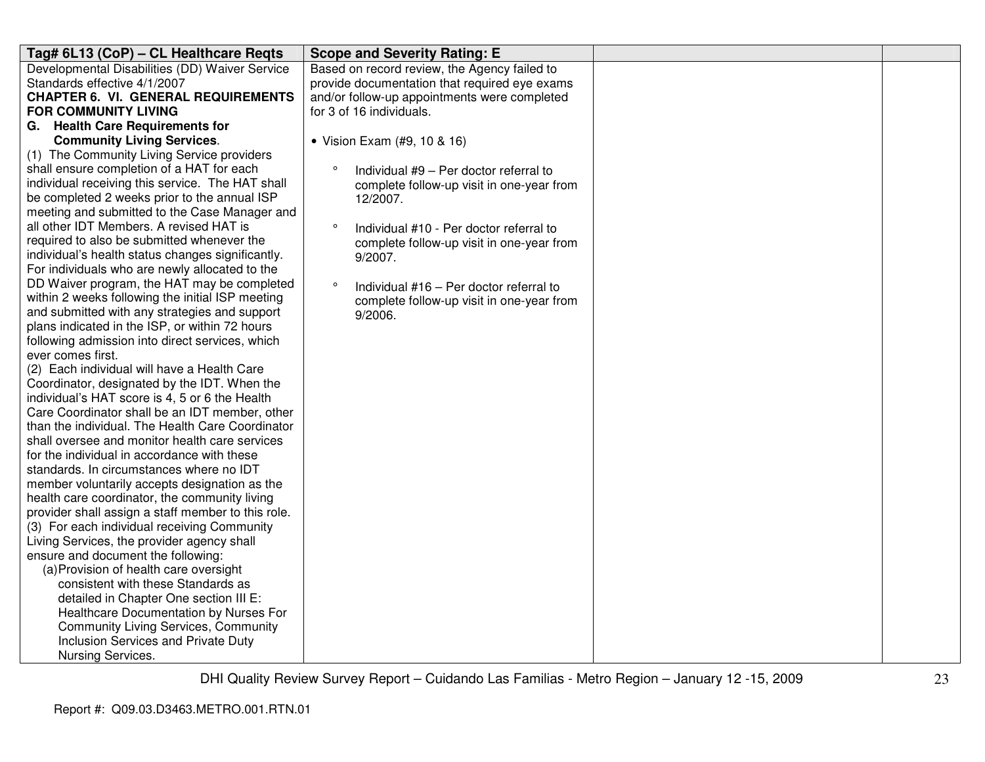| Tag# 6L13 (CoP) - CL Healthcare Reqts                                                            | <b>Scope and Severity Rating: E</b>                |  |
|--------------------------------------------------------------------------------------------------|----------------------------------------------------|--|
| Developmental Disabilities (DD) Waiver Service                                                   | Based on record review, the Agency failed to       |  |
| Standards effective 4/1/2007                                                                     | provide documentation that required eye exams      |  |
| <b>CHAPTER 6. VI. GENERAL REQUIREMENTS</b>                                                       | and/or follow-up appointments were completed       |  |
| <b>FOR COMMUNITY LIVING</b>                                                                      | for 3 of 16 individuals.                           |  |
| G. Health Care Requirements for                                                                  |                                                    |  |
| <b>Community Living Services.</b>                                                                | • Vision Exam (#9, 10 & 16)                        |  |
| (1) The Community Living Service providers                                                       |                                                    |  |
| shall ensure completion of a HAT for each                                                        | $\circ$<br>Individual #9 - Per doctor referral to  |  |
| individual receiving this service. The HAT shall                                                 | complete follow-up visit in one-year from          |  |
| be completed 2 weeks prior to the annual ISP                                                     | 12/2007.                                           |  |
| meeting and submitted to the Case Manager and                                                    |                                                    |  |
| all other IDT Members. A revised HAT is                                                          | $\circ$<br>Individual #10 - Per doctor referral to |  |
| required to also be submitted whenever the                                                       | complete follow-up visit in one-year from          |  |
| individual's health status changes significantly.                                                | 9/2007.                                            |  |
| For individuals who are newly allocated to the                                                   |                                                    |  |
| DD Waiver program, the HAT may be completed                                                      | $\circ$<br>Individual #16 - Per doctor referral to |  |
| within 2 weeks following the initial ISP meeting                                                 | complete follow-up visit in one-year from          |  |
| and submitted with any strategies and support                                                    | 9/2006.                                            |  |
| plans indicated in the ISP, or within 72 hours                                                   |                                                    |  |
| following admission into direct services, which                                                  |                                                    |  |
| ever comes first.                                                                                |                                                    |  |
| (2) Each individual will have a Health Care                                                      |                                                    |  |
| Coordinator, designated by the IDT. When the                                                     |                                                    |  |
| individual's HAT score is 4, 5 or 6 the Health<br>Care Coordinator shall be an IDT member, other |                                                    |  |
| than the individual. The Health Care Coordinator                                                 |                                                    |  |
| shall oversee and monitor health care services                                                   |                                                    |  |
| for the individual in accordance with these                                                      |                                                    |  |
| standards. In circumstances where no IDT                                                         |                                                    |  |
| member voluntarily accepts designation as the                                                    |                                                    |  |
| health care coordinator, the community living                                                    |                                                    |  |
| provider shall assign a staff member to this role.                                               |                                                    |  |
| (3) For each individual receiving Community                                                      |                                                    |  |
| Living Services, the provider agency shall                                                       |                                                    |  |
| ensure and document the following:                                                               |                                                    |  |
| (a) Provision of health care oversight                                                           |                                                    |  |
| consistent with these Standards as                                                               |                                                    |  |
| detailed in Chapter One section III E:                                                           |                                                    |  |
| Healthcare Documentation by Nurses For                                                           |                                                    |  |
| <b>Community Living Services, Community</b>                                                      |                                                    |  |
| Inclusion Services and Private Duty                                                              |                                                    |  |
| Nursing Services.                                                                                |                                                    |  |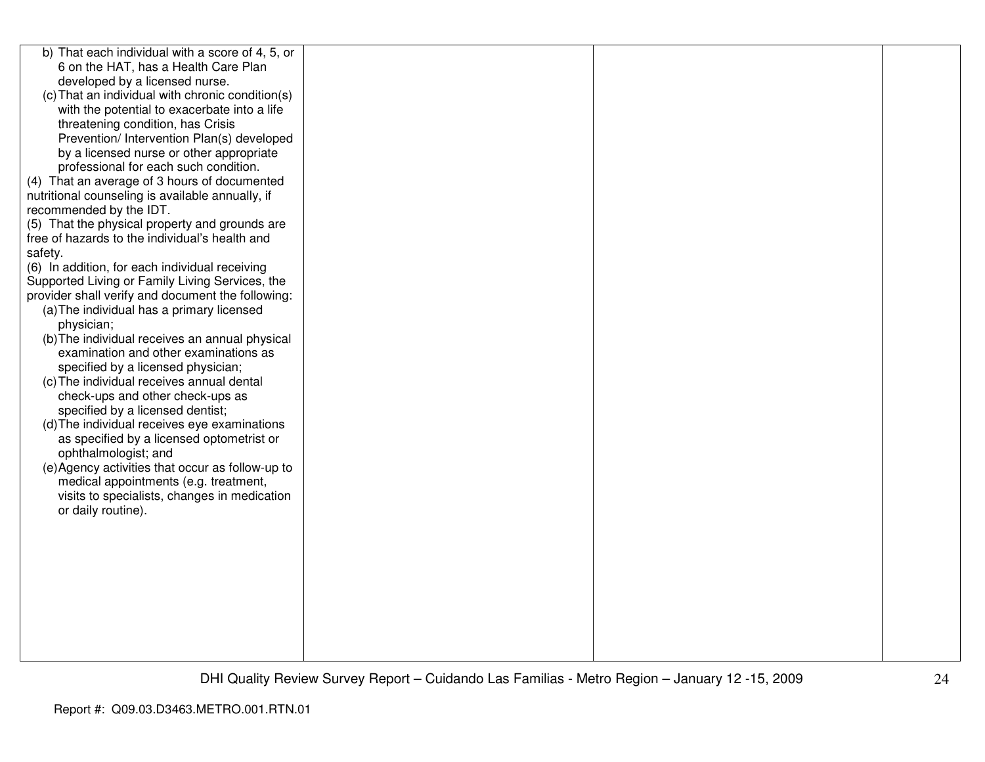| b) That each individual with a score of 4, 5, or  |  |  |
|---------------------------------------------------|--|--|
| 6 on the HAT, has a Health Care Plan              |  |  |
| developed by a licensed nurse.                    |  |  |
| (c) That an individual with chronic condition(s)  |  |  |
| with the potential to exacerbate into a life      |  |  |
| threatening condition, has Crisis                 |  |  |
| Prevention/ Intervention Plan(s) developed        |  |  |
| by a licensed nurse or other appropriate          |  |  |
| professional for each such condition.             |  |  |
| (4) That an average of 3 hours of documented      |  |  |
| nutritional counseling is available annually, if  |  |  |
| recommended by the IDT.                           |  |  |
| (5) That the physical property and grounds are    |  |  |
| free of hazards to the individual's health and    |  |  |
| safety.                                           |  |  |
| (6) In addition, for each individual receiving    |  |  |
| Supported Living or Family Living Services, the   |  |  |
| provider shall verify and document the following: |  |  |
| (a) The individual has a primary licensed         |  |  |
| physician;                                        |  |  |
| (b) The individual receives an annual physical    |  |  |
| examination and other examinations as             |  |  |
| specified by a licensed physician;                |  |  |
| (c) The individual receives annual dental         |  |  |
| check-ups and other check-ups as                  |  |  |
| specified by a licensed dentist;                  |  |  |
| (d) The individual receives eye examinations      |  |  |
| as specified by a licensed optometrist or         |  |  |
| ophthalmologist; and                              |  |  |
| (e) Agency activities that occur as follow-up to  |  |  |
| medical appointments (e.g. treatment,             |  |  |
| visits to specialists, changes in medication      |  |  |
| or daily routine).                                |  |  |
|                                                   |  |  |
|                                                   |  |  |
|                                                   |  |  |
|                                                   |  |  |
|                                                   |  |  |
|                                                   |  |  |
|                                                   |  |  |
|                                                   |  |  |
|                                                   |  |  |
|                                                   |  |  |
|                                                   |  |  |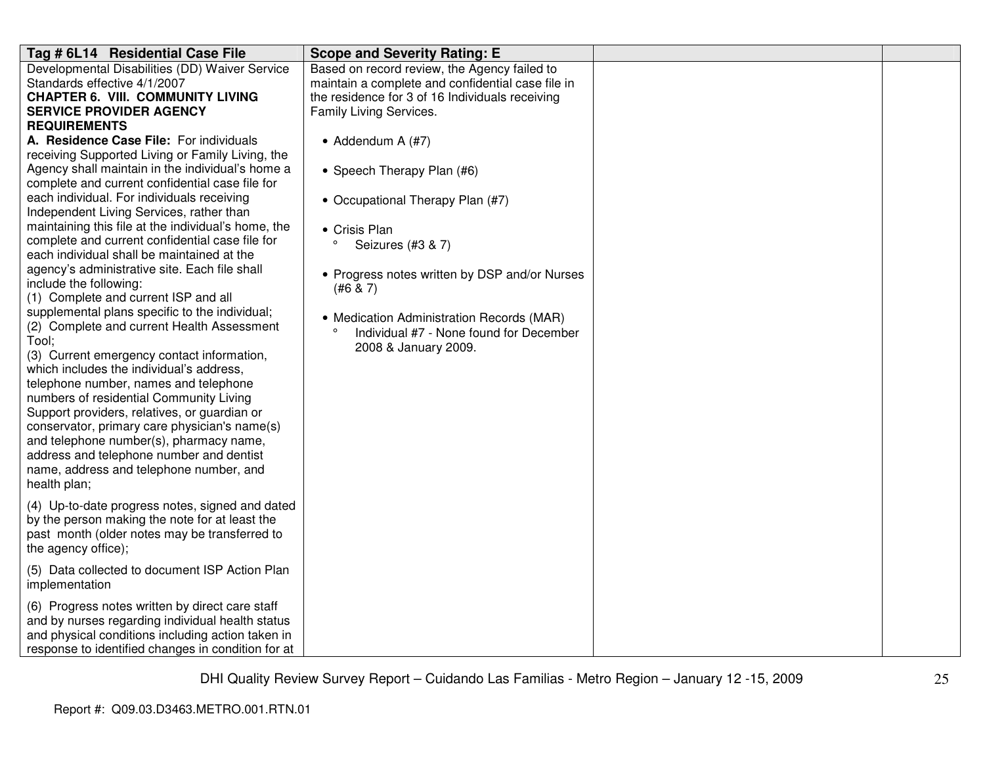| Tag # 6L14 Residential Case File                                                                                                                                                                                                                                                                                                                                                                                                                                                                                                                                                                                                                                                                                                                                                                                                                                                                                                                                                                                                                                                                                          | <b>Scope and Severity Rating: E</b>                                                                                                                                                                                                                                                          |  |
|---------------------------------------------------------------------------------------------------------------------------------------------------------------------------------------------------------------------------------------------------------------------------------------------------------------------------------------------------------------------------------------------------------------------------------------------------------------------------------------------------------------------------------------------------------------------------------------------------------------------------------------------------------------------------------------------------------------------------------------------------------------------------------------------------------------------------------------------------------------------------------------------------------------------------------------------------------------------------------------------------------------------------------------------------------------------------------------------------------------------------|----------------------------------------------------------------------------------------------------------------------------------------------------------------------------------------------------------------------------------------------------------------------------------------------|--|
| Developmental Disabilities (DD) Waiver Service<br>Standards effective 4/1/2007<br><b>CHAPTER 6. VIII. COMMUNITY LIVING</b><br><b>SERVICE PROVIDER AGENCY</b><br><b>REQUIREMENTS</b><br>A. Residence Case File: For individuals                                                                                                                                                                                                                                                                                                                                                                                                                                                                                                                                                                                                                                                                                                                                                                                                                                                                                            | Based on record review, the Agency failed to<br>maintain a complete and confidential case file in<br>the residence for 3 of 16 Individuals receiving<br>Family Living Services.<br>• Addendum A $(H7)$                                                                                       |  |
| receiving Supported Living or Family Living, the<br>Agency shall maintain in the individual's home a<br>complete and current confidential case file for<br>each individual. For individuals receiving<br>Independent Living Services, rather than<br>maintaining this file at the individual's home, the<br>complete and current confidential case file for<br>each individual shall be maintained at the<br>agency's administrative site. Each file shall<br>include the following:<br>(1) Complete and current ISP and all<br>supplemental plans specific to the individual;<br>(2) Complete and current Health Assessment<br>Tool;<br>(3) Current emergency contact information,<br>which includes the individual's address.<br>telephone number, names and telephone<br>numbers of residential Community Living<br>Support providers, relatives, or guardian or<br>conservator, primary care physician's name(s)<br>and telephone number(s), pharmacy name,<br>address and telephone number and dentist<br>name, address and telephone number, and<br>health plan;<br>(4) Up-to-date progress notes, signed and dated | • Speech Therapy Plan (#6)<br>• Occupational Therapy Plan (#7)<br>• Crisis Plan<br>$\circ$<br>Seizures (#3 & 7)<br>• Progress notes written by DSP and/or Nurses<br>(#6 & 7)<br>• Medication Administration Records (MAR)<br>Individual #7 - None found for December<br>2008 & January 2009. |  |
| by the person making the note for at least the<br>past month (older notes may be transferred to<br>the agency office);                                                                                                                                                                                                                                                                                                                                                                                                                                                                                                                                                                                                                                                                                                                                                                                                                                                                                                                                                                                                    |                                                                                                                                                                                                                                                                                              |  |
| (5) Data collected to document ISP Action Plan<br>implementation                                                                                                                                                                                                                                                                                                                                                                                                                                                                                                                                                                                                                                                                                                                                                                                                                                                                                                                                                                                                                                                          |                                                                                                                                                                                                                                                                                              |  |
| (6) Progress notes written by direct care staff<br>and by nurses regarding individual health status<br>and physical conditions including action taken in<br>response to identified changes in condition for at                                                                                                                                                                                                                                                                                                                                                                                                                                                                                                                                                                                                                                                                                                                                                                                                                                                                                                            |                                                                                                                                                                                                                                                                                              |  |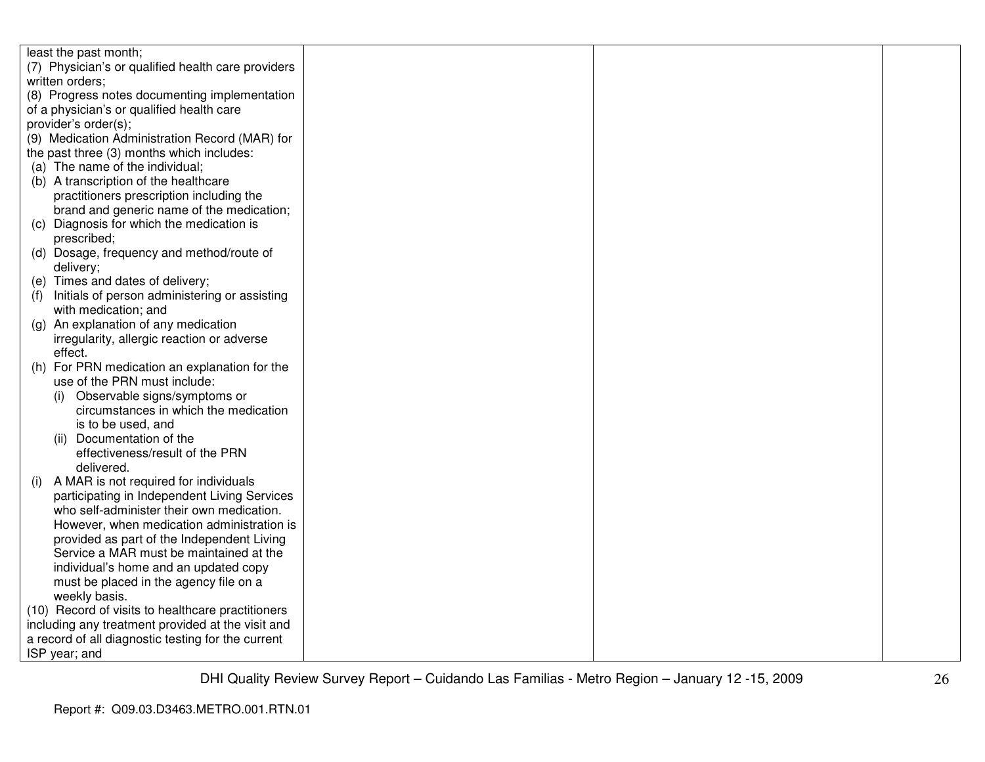| least the past month;                                |  |  |
|------------------------------------------------------|--|--|
| (7) Physician's or qualified health care providers   |  |  |
| written orders;                                      |  |  |
| (8) Progress notes documenting implementation        |  |  |
| of a physician's or qualified health care            |  |  |
| provider's order(s);                                 |  |  |
| (9) Medication Administration Record (MAR) for       |  |  |
| the past three (3) months which includes:            |  |  |
| (a) The name of the individual;                      |  |  |
| (b) A transcription of the healthcare                |  |  |
| practitioners prescription including the             |  |  |
| brand and generic name of the medication;            |  |  |
| (c) Diagnosis for which the medication is            |  |  |
| prescribed;                                          |  |  |
| Dosage, frequency and method/route of<br>(d)         |  |  |
| delivery;                                            |  |  |
| (e) Times and dates of delivery;                     |  |  |
| Initials of person administering or assisting<br>(1) |  |  |
| with medication; and                                 |  |  |
| An explanation of any medication<br>(g)              |  |  |
| irregularity, allergic reaction or adverse           |  |  |
| effect.                                              |  |  |
| For PRN medication an explanation for the<br>(h)     |  |  |
| use of the PRN must include:                         |  |  |
| Observable signs/symptoms or<br>(i)                  |  |  |
| circumstances in which the medication                |  |  |
| is to be used, and                                   |  |  |
| (ii) Documentation of the                            |  |  |
| effectiveness/result of the PRN                      |  |  |
| delivered.                                           |  |  |
| A MAR is not required for individuals<br>(i)         |  |  |
| participating in Independent Living Services         |  |  |
| who self-administer their own medication.            |  |  |
| However, when medication administration is           |  |  |
| provided as part of the Independent Living           |  |  |
| Service a MAR must be maintained at the              |  |  |
| individual's home and an updated copy                |  |  |
| must be placed in the agency file on a               |  |  |
| weekly basis.                                        |  |  |
| (10) Record of visits to healthcare practitioners    |  |  |
| including any treatment provided at the visit and    |  |  |
| a record of all diagnostic testing for the current   |  |  |
| ISP year; and                                        |  |  |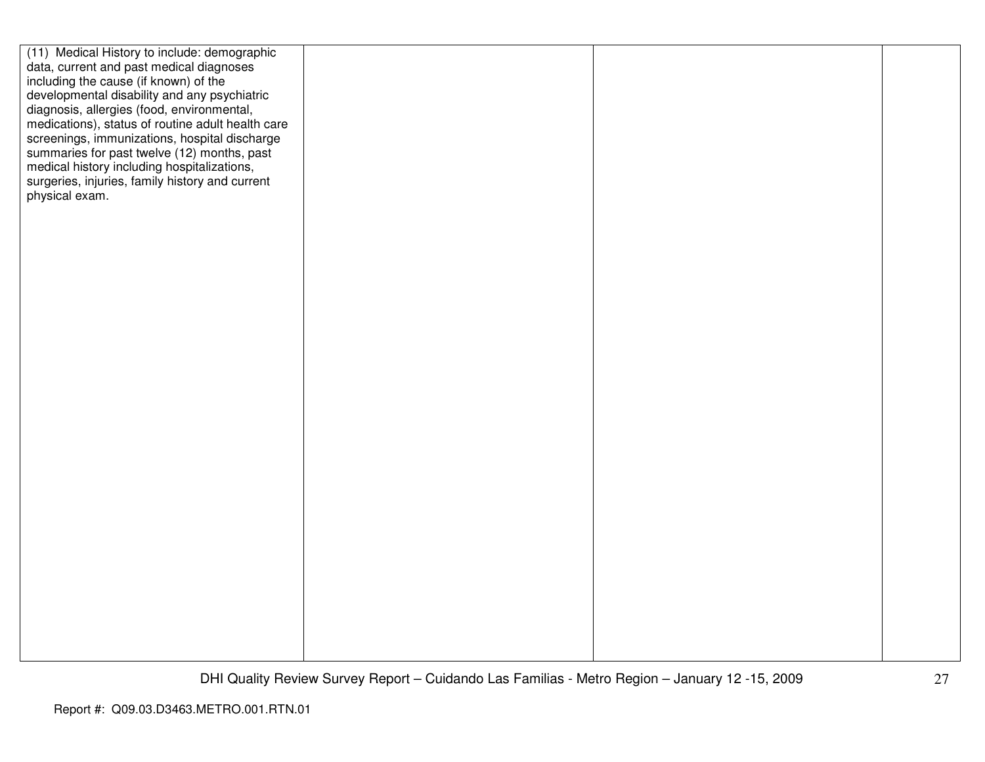| (11) Medical History to include: demographic<br>data, current and past medical diagnoses<br>including the cause (if known) of the<br>developmental disability and any psychiatric<br>diagnosis, allergies (food, environmental,<br>medications), status of routine adult health care<br>screenings, immunizations, hospital discharge<br>summaries for past twelve (12) months, past<br>medical history including hospitalizations,<br>surgeries, injuries, family history and current<br>physical exam. |  |
|----------------------------------------------------------------------------------------------------------------------------------------------------------------------------------------------------------------------------------------------------------------------------------------------------------------------------------------------------------------------------------------------------------------------------------------------------------------------------------------------------------|--|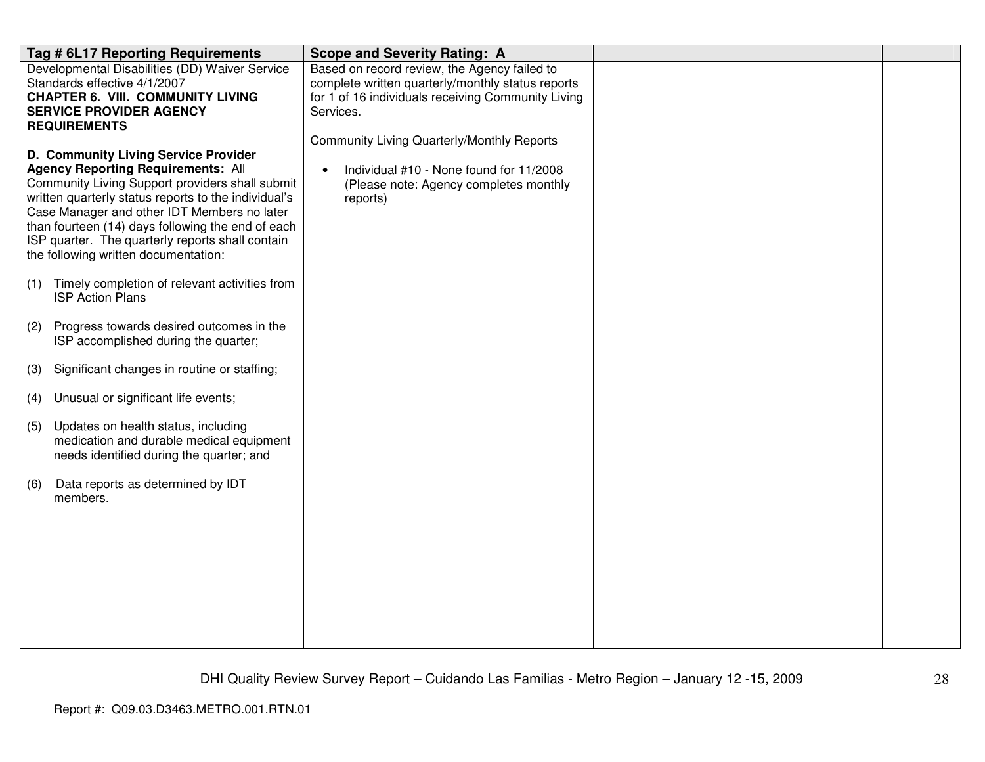|     | Tag # 6L17 Reporting Requirements                                                                                                                                                                                                                                                                                                                                                            | <b>Scope and Severity Rating: A</b>                                                                                                                                  |  |
|-----|----------------------------------------------------------------------------------------------------------------------------------------------------------------------------------------------------------------------------------------------------------------------------------------------------------------------------------------------------------------------------------------------|----------------------------------------------------------------------------------------------------------------------------------------------------------------------|--|
|     | Developmental Disabilities (DD) Waiver Service<br>Standards effective 4/1/2007<br><b>CHAPTER 6. VIII. COMMUNITY LIVING</b><br><b>SERVICE PROVIDER AGENCY</b><br><b>REQUIREMENTS</b>                                                                                                                                                                                                          | Based on record review, the Agency failed to<br>complete written quarterly/monthly status reports<br>for 1 of 16 individuals receiving Community Living<br>Services. |  |
|     | D. Community Living Service Provider<br><b>Agency Reporting Requirements: All</b><br>Community Living Support providers shall submit<br>written quarterly status reports to the individual's<br>Case Manager and other IDT Members no later<br>than fourteen (14) days following the end of each<br>ISP quarter. The quarterly reports shall contain<br>the following written documentation: | Community Living Quarterly/Monthly Reports<br>Individual #10 - None found for 11/2008<br>$\bullet$<br>(Please note: Agency completes monthly<br>reports)             |  |
| (1) | Timely completion of relevant activities from<br><b>ISP Action Plans</b>                                                                                                                                                                                                                                                                                                                     |                                                                                                                                                                      |  |
| (2) | Progress towards desired outcomes in the<br>ISP accomplished during the quarter;                                                                                                                                                                                                                                                                                                             |                                                                                                                                                                      |  |
| (3) | Significant changes in routine or staffing;                                                                                                                                                                                                                                                                                                                                                  |                                                                                                                                                                      |  |
| (4) | Unusual or significant life events;                                                                                                                                                                                                                                                                                                                                                          |                                                                                                                                                                      |  |
| (5) | Updates on health status, including<br>medication and durable medical equipment<br>needs identified during the quarter; and                                                                                                                                                                                                                                                                  |                                                                                                                                                                      |  |
| (6) | Data reports as determined by IDT<br>members.                                                                                                                                                                                                                                                                                                                                                |                                                                                                                                                                      |  |
|     |                                                                                                                                                                                                                                                                                                                                                                                              |                                                                                                                                                                      |  |
|     |                                                                                                                                                                                                                                                                                                                                                                                              |                                                                                                                                                                      |  |
|     |                                                                                                                                                                                                                                                                                                                                                                                              |                                                                                                                                                                      |  |
|     |                                                                                                                                                                                                                                                                                                                                                                                              |                                                                                                                                                                      |  |